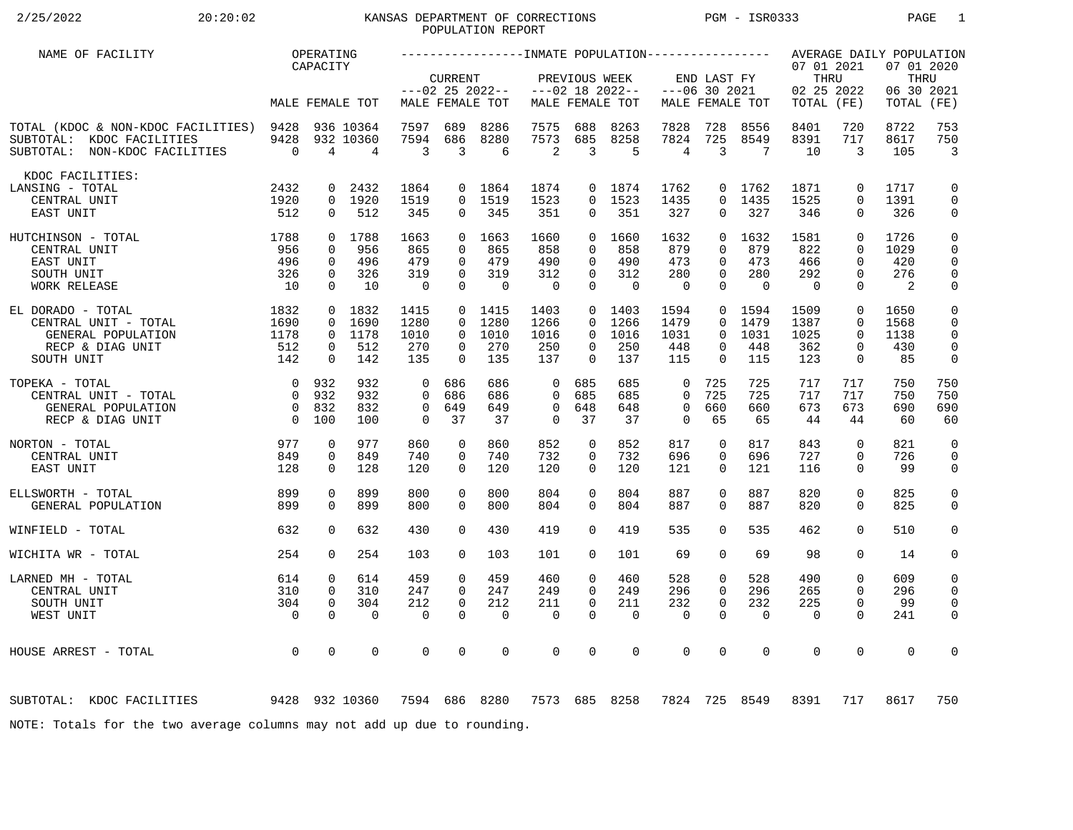# 2/25/2022 20:20:02 20:20:02 KANSAS DEPARTMENT OF CORRECTIONS PGM - ISR0333 PAGE 1 POPULATION REPORT

| NAME OF FACILITY                                                                                      |                                                                 | OPERATING                                          |                                      |                                              |                                                          |                                       |                                              |                                                                |                                             |                                          |                                                          |                                       |                                                |                                                             | AVERAGE DAILY POPULATION                  |                                                               |
|-------------------------------------------------------------------------------------------------------|-----------------------------------------------------------------|----------------------------------------------------|--------------------------------------|----------------------------------------------|----------------------------------------------------------|---------------------------------------|----------------------------------------------|----------------------------------------------------------------|---------------------------------------------|------------------------------------------|----------------------------------------------------------|---------------------------------------|------------------------------------------------|-------------------------------------------------------------|-------------------------------------------|---------------------------------------------------------------|
|                                                                                                       |                                                                 | CAPACITY                                           | MALE FEMALE TOT                      |                                              | <b>CURRENT</b>                                           | $---02$ 25 2022--<br>MALE FEMALE TOT  |                                              | PREVIOUS WEEK                                                  | $---02$ 18 2022--<br>MALE FEMALE TOT        |                                          | END LAST FY<br>$---06$ 30 2021                           | MALE FEMALE TOT                       | 07 01 2021<br>THRU<br>02 25 2022<br>TOTAL (FE) |                                                             | 07 01 2020<br>THRU<br>06 30 2021<br>TOTAL | (FE)                                                          |
| TOTAL (KDOC & NON-KDOC FACILITIES) 9428<br>SUBTOTAL: KDOC FACILITIES<br>SUBTOTAL: NON-KDOC FACILITIES | 9428<br>$\overline{0}$                                          | $\overline{4}$                                     | 936 10364<br>932 10360<br>4          | 7597<br>7594<br>3                            | 689<br>686<br>3                                          | 8286<br>8280<br>6                     | 7575<br>7573<br>2                            | 688<br>685<br>$\overline{3}$                                   | 8263<br>8258<br>5                           | 7828<br>7824<br>4                        | 728<br>725<br>3                                          | 8556<br>8549<br>7                     | 8401<br>8391<br>10                             | 720<br>717<br>3                                             | 8722<br>8617<br>105                       | 753<br>750<br>$\overline{3}$                                  |
| KDOC FACILITIES:<br>LANSING - TOTAL<br>CENTRAL UNIT<br>EAST UNIT                                      | 2432<br>1920<br>512                                             | 0<br>$\Omega$                                      | 2432<br>0 1920<br>512                | 1864<br>1519<br>345                          | 0<br>$\Omega$<br>0                                       | 1864<br>1519<br>345                   | 1874<br>1523<br>351                          | $\Omega$<br>0                                                  | 0 1874<br>1523<br>351                       | 1762<br>1435<br>327                      | 0<br>$\Omega$<br>$\Omega$                                | 1762<br>1435<br>327                   | 1871<br>1525<br>346                            | $\mathbf 0$<br>$\Omega$<br>$\Omega$                         | 1717<br>1391<br>326                       | 0<br>$\mathsf{O}$<br>0                                        |
| 1788<br>HUTCHINSON - TOTAL<br>CENTRAL UNIT<br>EAST UNIT<br>SOUTH UNIT<br><b>WORK RELEASE</b>          | 956<br>496<br>326<br>10                                         | $\Omega$<br>$\mathbf 0$<br>$\mathbf 0$<br>$\Omega$ | 0 1788<br>956<br>496<br>326<br>10    | 1663<br>865<br>479<br>319<br>$\overline{0}$  | $\Omega$<br>$\Omega$<br>$\Omega$<br>$\Omega$<br>$\Omega$ | 1663<br>865<br>479<br>319<br>$\Omega$ | 1660<br>858<br>490<br>312<br>$\overline{0}$  | $\Omega$<br>$\Omega$<br>$\mathbf 0$<br>$\mathbf 0$<br>$\Omega$ | 1660<br>858<br>490<br>312<br>$\overline{0}$ | 1632<br>879<br>473<br>280<br>$\mathbf 0$ | $\Omega$<br>$\Omega$<br>$\Omega$<br>$\Omega$<br>$\Omega$ | 1632<br>879<br>473<br>280<br>$\Omega$ | 1581<br>822<br>466<br>292<br>$\Omega$          | $\Omega$<br>$\Omega$<br>$\Omega$<br>$\mathbf 0$<br>$\Omega$ | 1726<br>1029<br>420<br>276<br>2           | $\mathbf 0$<br>$\mathbf 0$<br>$\mathbf 0$<br>$\mathbf 0$<br>0 |
| EL DORADO - TOTAL<br>CENTRAL UNIT - TOTAL<br>GENERAL POPULATION<br>RECP & DIAG UNIT<br>SOUTH UNIT     | 1832<br>1690<br>1178<br>512<br>142                              | $\mathbf 0$<br>$\mathbf{0}$<br>0<br>$\mathbf 0$    | 0 1832<br>1690<br>1178<br>512<br>142 | 1415<br>1280<br>1010<br>270<br>135           | $\Omega$<br>$\Omega$<br>0<br>$\Omega$                    | 0 1415<br>1280<br>1010<br>270<br>135  | 1403<br>1266<br>1016<br>250<br>137           | $\Omega$<br>$\Omega$<br>0<br>$\Omega$                          | 0 1403<br>1266<br>1016<br>250<br>137        | 1594<br>1479<br>1031<br>448<br>115       | $\overline{0}$<br>$\Omega$<br>$\Omega$<br>0<br>$\Omega$  | 1594<br>1479<br>1031<br>448<br>115    | 1509<br>1387<br>1025<br>362<br>123             | $\mathbf 0$<br>$\mathbf 0$<br>$\Omega$<br>0<br>$\mathbf 0$  | 1650<br>1568<br>1138<br>430<br>85         | 0<br>0<br>$\mathbf 0$<br>$\mathbf 0$<br>0                     |
| TOPEKA - TOTAL<br>CENTRAL UNIT - TOTAL<br>GENERAL POPULATION<br>RECP & DIAG UNIT                      | $\overline{0}$<br>$\bigcap$<br>$\overline{0}$<br>$\overline{0}$ | 932<br>932<br>832<br>100                           | 932<br>932<br>832<br>100             | $\Omega$<br>$\Omega$<br>$\Omega$<br>$\Omega$ | 686<br>686<br>649<br>37                                  | 686<br>686<br>649<br>37               | $\Omega$<br>$\Omega$<br>$\Omega$<br>$\Omega$ | 685<br>685<br>648<br>37                                        | 685<br>685<br>648<br>37                     | 0<br>$\Omega$<br>$\mathbf 0$<br>$\Omega$ | 725<br>725<br>660<br>65                                  | 725<br>725<br>660<br>65               | 717<br>717<br>673<br>44                        | 717<br>717<br>673<br>44                                     | 750<br>750<br>690<br>60                   | 750<br>750<br>690<br>60                                       |
| NORTON - TOTAL<br>CENTRAL UNIT<br>EAST UNIT                                                           | 977<br>849<br>128                                               | $\mathbf 0$<br>$\mathbf 0$<br>$\Omega$             | 977<br>849<br>128                    | 860<br>740<br>120                            | $\mathbf 0$<br>$\Omega$<br>$\Omega$                      | 860<br>740<br>120                     | 852<br>732<br>120                            | $\mathbf 0$<br>$\Omega$<br>$\Omega$                            | 852<br>732<br>120                           | 817<br>696<br>121                        | $\mathbf 0$<br>0<br>$\Omega$                             | 817<br>696<br>121                     | 843<br>727<br>116                              | $\Omega$<br>$\mathbf 0$<br>$\Omega$                         | 821<br>726<br>99                          | $\mathbf 0$<br>$\mathbf 0$<br>$\mathbf 0$                     |
| ELLSWORTH - TOTAL<br>GENERAL POPULATION                                                               | 899<br>899                                                      | 0<br>$\mathbf 0$                                   | 899<br>899                           | 800<br>800                                   | 0<br>$\Omega$                                            | 800<br>800                            | 804<br>804                                   | 0<br>0                                                         | 804<br>804                                  | 887<br>887                               | 0<br>$\Omega$                                            | 887<br>887                            | 820<br>820                                     | $\mathbf 0$<br>$\mathbf 0$                                  | 825<br>825                                | 0<br>$\mathbf 0$                                              |
| WINFIELD - TOTAL                                                                                      | 632                                                             | $\Omega$                                           | 632                                  | 430                                          | $\Omega$                                                 | 430                                   | 419                                          | $\mathbf 0$                                                    | 419                                         | 535                                      | 0                                                        | 535                                   | 462                                            | $\Omega$                                                    | 510                                       | 0                                                             |
| WICHITA WR - TOTAL                                                                                    | 254                                                             | $\Omega$                                           | 254                                  | 103                                          | $\Omega$                                                 | 103                                   | 101                                          | $\Omega$                                                       | 101                                         | 69                                       | $\Omega$                                                 | 69                                    | 98                                             | $\Omega$                                                    | 14                                        | 0                                                             |
| LARNED MH - TOTAL<br>CENTRAL UNIT<br>SOUTH UNIT<br>WEST UNIT                                          | 614<br>310<br>304<br>$\overline{0}$                             | 0<br>$\Omega$<br>$\mathbf 0$<br>$\Omega$           | 614<br>310<br>304<br>$\Omega$        | 459<br>247<br>212<br>$\Omega$                | $\Omega$<br>$\Omega$<br>$\Omega$<br>$\Omega$             | 459<br>247<br>212<br>$\mathbf 0$      | 460<br>249<br>211<br>$\mathbf 0$             | 0<br>$\Omega$<br>$\Omega$<br>$\Omega$                          | 460<br>249<br>211<br>$\Omega$               | 528<br>296<br>232<br>$\mathbf 0$         | 0<br>$\Omega$<br>$\Omega$<br>$\Omega$                    | 528<br>296<br>232<br>$\mathbf 0$      | 490<br>265<br>225<br>$\Omega$                  | $\mathbf 0$<br>$\Omega$<br>$\mathbf 0$<br>$\Omega$          | 609<br>296<br>99<br>241                   | $\mathbf 0$<br>$\mathbf 0$<br>$\mathbf 0$<br>$\mathbf 0$      |
| HOUSE ARREST - TOTAL                                                                                  | $\overline{0}$                                                  | $\Omega$                                           | 0                                    | $\Omega$                                     | $\Omega$                                                 | $\mathbf 0$                           | 0                                            | $\Omega$                                                       | $\Omega$                                    | $\mathbf 0$                              | $\Omega$                                                 | $\mathbf 0$                           | $\mathbf 0$                                    | $\mathbf 0$                                                 | $\Omega$                                  | $\mathbf 0$                                                   |
| 9428 932 10360<br>SUBTOTAL: KDOC FACILITIES                                                           |                                                                 |                                                    |                                      |                                              |                                                          | 7594 686 8280                         |                                              |                                                                | 7573 685 8258                               | 7824                                     |                                                          | 725 8549                              | 8391                                           | 717                                                         | 8617                                      | 750                                                           |
| NOTE: Totals for the two average columns may not add up due to rounding.                              |                                                                 |                                                    |                                      |                                              |                                                          |                                       |                                              |                                                                |                                             |                                          |                                                          |                                       |                                                |                                                             |                                           |                                                               |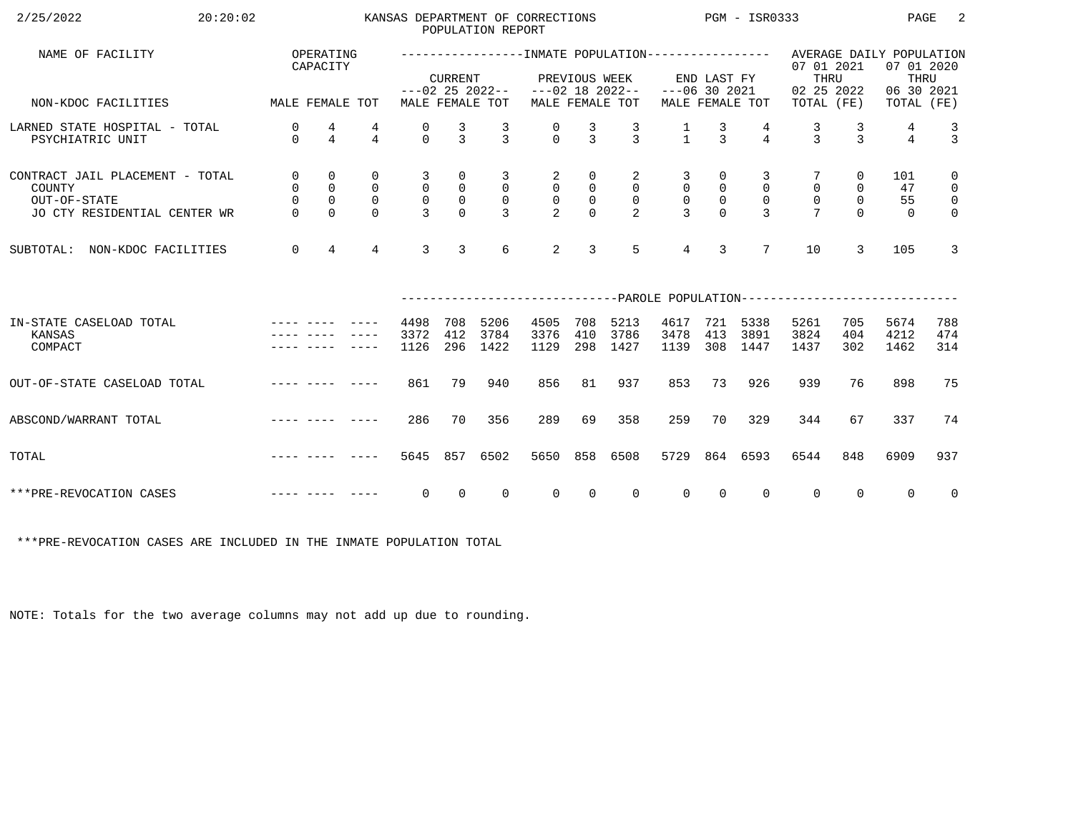| 2/25/2022<br>20:20:02                                                                                                                                                                                                                                   |                                                              |                                                                  |                                                        |                                                   |                                                             | POPULATION REPORT                                     | KANSAS DEPARTMENT OF CORRECTIONS                  |                                                     |                                                         | $PGM - ISR0333$                                     |                                            |                                                 |                                                                                                   |                                               | PAGE                        | -2                                                                         |
|---------------------------------------------------------------------------------------------------------------------------------------------------------------------------------------------------------------------------------------------------------|--------------------------------------------------------------|------------------------------------------------------------------|--------------------------------------------------------|---------------------------------------------------|-------------------------------------------------------------|-------------------------------------------------------|---------------------------------------------------|-----------------------------------------------------|---------------------------------------------------------|-----------------------------------------------------|--------------------------------------------|-------------------------------------------------|---------------------------------------------------------------------------------------------------|-----------------------------------------------|-----------------------------|----------------------------------------------------------------------------|
| NAME OF FACILITY                                                                                                                                                                                                                                        |                                                              | OPERATING<br>CAPACITY                                            |                                                        |                                                   | <b>CURRENT</b>                                              |                                                       |                                                   | PREVIOUS WEEK                                       |                                                         |                                                     | END LAST FY                                |                                                 | ------------------NMATE POPULATION---------------- AVERAGE DAILY POPULATION<br>07 01 2021<br>THRU |                                               | 07 01 2020<br>THRU          |                                                                            |
| MALE FEMALE TOT<br>NON-KDOC FACILITIES                                                                                                                                                                                                                  |                                                              |                                                                  |                                                        |                                                   |                                                             | MALE FEMALE TOT                                       | $---02$ 25 2022-- $---02$ 18 2022--               |                                                     | MALE FEMALE TOT                                         | $---06$ 30 2021                                     |                                            | MALE FEMALE TOT                                 | 02 25 2022<br>TOTAL (FE)                                                                          |                                               | 06 30 2021<br>TOTAL (FE)    |                                                                            |
| LARNED STATE HOSPITAL - TOTAL<br>PSYCHIATRIC UNIT                                                                                                                                                                                                       | 0<br>$\Omega$                                                | 4<br>$\overline{4}$                                              | 4<br>$\overline{4}$                                    | 0<br>$\Omega$                                     | $\frac{3}{3}$                                               | $\frac{3}{3}$                                         | $\begin{matrix} 0 \\ 0 \end{matrix}$              | $\frac{3}{3}$                                       | $\frac{3}{3}$                                           | $\frac{1}{1}$                                       | $\frac{3}{3}$                              | $\overline{4}$                                  | $\frac{3}{3}$                                                                                     | $\frac{3}{3}$                                 | 4<br>$\overline{4}$         | $\frac{3}{3}$                                                              |
| CONTRACT JAIL PLACEMENT - TOTAL<br>COUNTY<br>OUT-OF-STATE<br>JO CTY RESIDENTIAL CENTER WR                                                                                                                                                               | $\overline{0}$<br>$\overline{0}$<br>$\mathsf{O}$<br>$\Omega$ | $\mathbf 0$<br>$\overline{0}$<br>$\mathsf{O}\xspace$<br>$\Omega$ | $\mathbf 0$<br>$\mathsf{O}$<br>$\mathbf 0$<br>$\Omega$ | 3<br>$\mathsf{O}$<br>$\mathsf{O}$<br>$\mathbf{3}$ | 0<br>$\begin{smallmatrix}0\\0\end{smallmatrix}$<br>$\Omega$ | 3<br>$\overline{0}$<br>$\overline{0}$<br>$\mathbf{R}$ | $\overline{a}$<br>$\overline{0}$<br>$\frac{0}{2}$ | 0<br>$\mathsf 0$<br>$\mathsf{O}\xspace$<br>$\Omega$ | 2<br>$\overline{0}$<br>$\overline{0}$<br>$\mathfrak{D}$ | 3<br>$\overline{0}$<br>$\mathsf{O}$<br>$\mathbf{z}$ | 0<br>$\mathsf{O}$<br>$\mathbb O$<br>$\cap$ | 3<br>$\mathbf 0$<br>$\mathbf 0$<br>$\mathbf{z}$ | $\mathsf{O}$<br>$\mathsf{O}$                                                                      | 0<br>$\mathsf{O}$<br>$\overline{0}$<br>$\cap$ | 101<br>47<br>55<br>$\Omega$ | $\mathbf 0$<br>$\overline{0}$<br>$\overline{\mathbf{0}}$<br>$\overline{0}$ |
| NON-KDOC FACILITIES<br>SUBTOTAL:                                                                                                                                                                                                                        | $\mathbf 0$                                                  | $\overline{4}$                                                   | $\overline{4}$                                         | $\overline{3}$                                    | $\overline{3}$                                              | 6                                                     | $\overline{2}$                                    | 3                                                   | 5                                                       | $\overline{4}$                                      | $\overline{3}$                             | $7\overline{ }$                                 | 10                                                                                                | 3                                             | 105                         | $\overline{3}$                                                             |
|                                                                                                                                                                                                                                                         |                                                              |                                                                  |                                                        |                                                   |                                                             |                                                       |                                                   |                                                     |                                                         |                                                     |                                            |                                                 | ------------------------------PAROLE POPULATION--------------------------                         |                                               |                             |                                                                            |
| IN-STATE CASELOAD TOTAL<br>KANSAS<br>COMPACT                                                                                                                                                                                                            |                                                              |                                                                  |                                                        | 4498<br>3372<br>1126                              | 708<br>412<br>296                                           | 5206<br>3784<br>1422                                  | 4505<br>3376<br>1129                              | 708<br>410<br>298                                   | 5213<br>3786<br>1427                                    | 4617<br>3478<br>1139                                | 413<br>308                                 | 721 5338<br>3891<br>1447                        | 5261<br>3824<br>1437                                                                              | 705<br>404<br>302                             | 5674<br>4212<br>1462        | 788<br>474<br>314                                                          |
| OUT-OF-STATE CASELOAD TOTAL                                                                                                                                                                                                                             |                                                              |                                                                  |                                                        | 861                                               | 79                                                          | 940                                                   | 856                                               | 81                                                  | 937                                                     | 853                                                 | 73                                         | 926                                             | 939                                                                                               | 76                                            | 898                         | 75                                                                         |
| and the contract were accepted to the contract of the contract of the contract of the contract of the contract of the contract of the contract of the contract of the contract of the contract of the contract of the contract<br>ABSCOND/WARRANT TOTAL |                                                              |                                                                  |                                                        | 286                                               | 70                                                          | 356                                                   | 289                                               | 69                                                  | 358                                                     | 259                                                 | 70                                         | 329                                             | 344                                                                                               | 67                                            | 337                         | 74                                                                         |
| and the contract were accepted to the<br>TOTAL                                                                                                                                                                                                          |                                                              |                                                                  |                                                        | 5645                                              | 857                                                         | 6502                                                  | 5650                                              | 858                                                 | 6508                                                    | 5729                                                |                                            | 864 6593                                        | 6544                                                                                              | 848                                           | 6909                        | 937                                                                        |
| <u> 1980 - Jan Alexandria (</u><br>***PRE-REVOCATION CASES                                                                                                                                                                                              |                                                              |                                                                  |                                                        | $\overline{0}$                                    | $\overline{0}$                                              | $\overline{0}$                                        | $\overline{0}$                                    | $\overline{0}$                                      | $\overline{0}$                                          | $\overline{0}$                                      | $\overline{0}$                             | $\mathbf{0}$                                    | $\overline{0}$                                                                                    | $\overline{0}$                                | $\overline{0}$              | $\overline{0}$                                                             |

\*\*\*PRE-REVOCATION CASES ARE INCLUDED IN THE INMATE POPULATION TOTAL

NOTE: Totals for the two average columns may not add up due to rounding.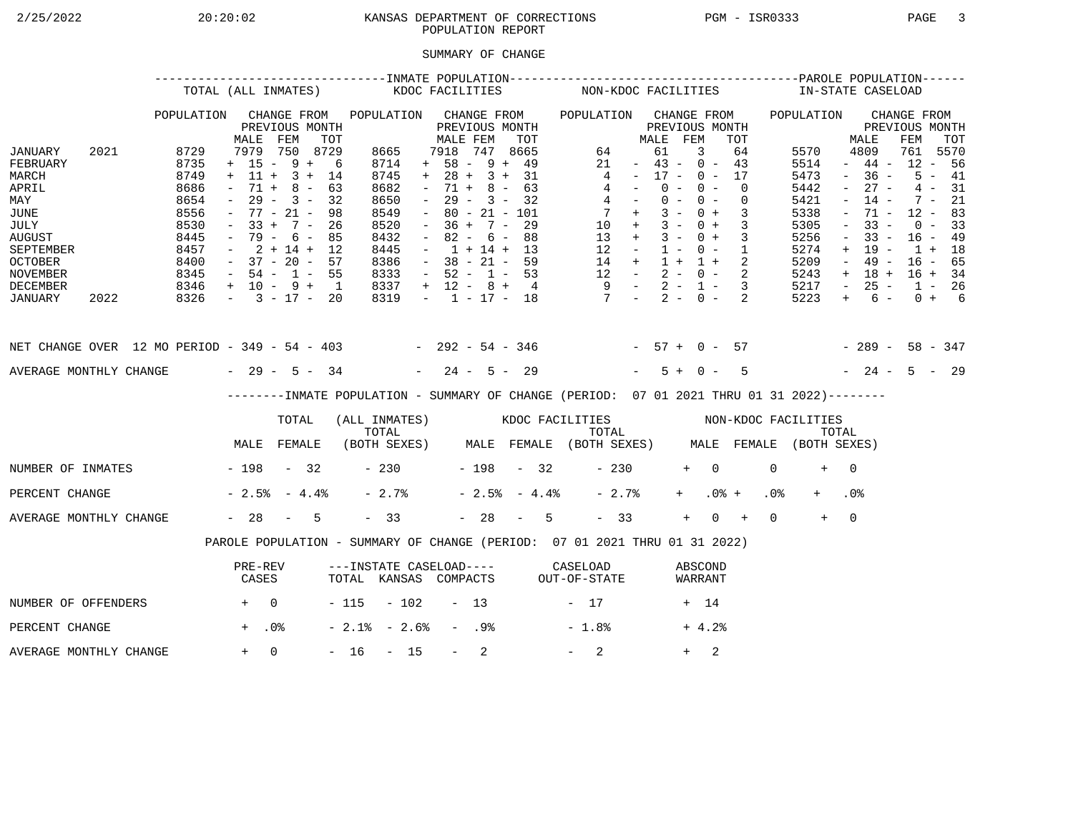# 2/25/2022 20:20:02 KANSAS DEPARTMENT OF CORRECTIONS PGM - ISR0333 PAGE 3POPULATION REPORT

## SUMMARY OF CHANGE

|                                                                                                                                        |      |                                                                                      | TOTAL (ALL INMATES)                                                                                                                                         |                                                 |     |                                                                                             | KDOC FACILITIES     |                                                                                                                                                                          |                  |                                                                    |     |                | NON-KDOC FACILITIES                                                                                                                            |                                                                                                 |                                  |                |            |                          |                            |                 | IN-STATE CASELOAD                                                                    |                                                                                                           |                                                                                                       |                                                                                       |                                              |  |
|----------------------------------------------------------------------------------------------------------------------------------------|------|--------------------------------------------------------------------------------------|-------------------------------------------------------------------------------------------------------------------------------------------------------------|-------------------------------------------------|-----|---------------------------------------------------------------------------------------------|---------------------|--------------------------------------------------------------------------------------------------------------------------------------------------------------------------|------------------|--------------------------------------------------------------------|-----|----------------|------------------------------------------------------------------------------------------------------------------------------------------------|-------------------------------------------------------------------------------------------------|----------------------------------|----------------|------------|--------------------------|----------------------------|-----------------|--------------------------------------------------------------------------------------|-----------------------------------------------------------------------------------------------------------|-------------------------------------------------------------------------------------------------------|---------------------------------------------------------------------------------------|----------------------------------------------|--|
|                                                                                                                                        |      | POPULATION                                                                           | MALE                                                                                                                                                        | CHANGE FROM<br>PREVIOUS MONTH<br>FEM            | TOT | POPULATION CHANGE FROM                                                                      |                     | MALE FEM                                                                                                                                                                 |                  | PREVIOUS MONTH                                                     | TOT |                | POPULATION CHANGE FROM                                                                                                                         |                                                                                                 | MALE FEM                         | PREVIOUS MONTH |            |                          | TOT                        |                 | POPULATION                                                                           |                                                                                                           | MALE                                                                                                  | CHANGE FROM<br>PREVIOUS MONTH<br>FEM                                                  | TOT                                          |  |
| JANUARY<br>FEBRUARY<br>MARCH<br>APRIL<br>MAY<br>JUNE<br>JULY<br><b>AUGUST</b><br>SEPTEMBER<br><b>OCTOBER</b><br>NOVEMBER               | 2021 | 8729<br>8735<br>8749<br>8686<br>8654<br>8556<br>8530<br>8445<br>8457<br>8400<br>8345 | $+ 15 - 9 + 6$<br>$+ 11 + 3 + 14$<br>$\sim$<br>$ \,$<br>$-77 - 21 -$<br>$-33 + 7 - 26$<br>$-79 - 6 - 85$<br>$-2+14+12$<br>$-37 - 20 - 57$<br>$-54 - 1 - 55$ | 7979 750 8729<br>$71 + 8 - 63$<br>$29 - 3 - 32$ | 98  | 8665<br>8714<br>8745<br>8682<br>8650<br>8549<br>8520<br>8432<br>8445<br>8386<br>8333        |                     | 7918 747 8665<br>$+ 58 - 9 + 49$<br>$+ 28 + 3 + 31$<br>$\sim$<br>$\sim$ $-$<br>$\sim$<br>$-36 + 7 - 29$<br>$\sim$<br>$-1 + 14 + 13$<br>$-38 - 21 - 59$<br>$-52 - 1 - 53$ |                  | $71 + 8 - 63$<br>$29 - 3 - 32$<br>$80 - 21 - 101$<br>$82 - 6 - 88$ |     |                | $\overline{4}$<br>$\begin{array}{ccccccccc} 14 & + & 1 & + & 1 & + & 2 \\ 12 & - & 2 & - & 0 & - & 2 \\ 9 & - & 2 & - & 1 & - & 3 \end{array}$ | 64<br>21<br>$4 -$<br>$4 -$<br>$7 +$<br>$10 + 3 - 0 + 3$<br>$13 + 3 - 0 + 3$<br>$12 - 1 - 0 - 1$ | $-43 - 0 - 43$<br>$-17 - 0 - 17$ | 61<br>$0 -$    | 3<br>$0 -$ | $0 - 0 -$<br>$3 - 0 + 3$ | 64<br>$\Omega$<br>$\Omega$ |                 | 5570<br>5514<br>5473<br>5442<br>5421<br>5338<br>5305<br>5256<br>5274<br>5209<br>5243 | $\sim$<br>$\sim$<br>$\overline{\phantom{a}}$<br>$\equiv$<br>$\overline{\phantom{a}}$<br>$+$<br>$\sim$ $-$ | 4809<br>$-44-$<br>$-36 -$<br>$27 -$<br>$14 -$<br>71 -<br>$33 -$<br>$33 -$<br>19 -<br>49 -<br>$+ 18 +$ | 761 5570<br>$12 - 56$<br>$12 - 83$<br>$16 - 49$<br>$1 + 18$<br>$16 - 65$<br>$16 + 34$ | $5 - 41$<br>$4 - 31$<br>$7 - 21$<br>$0 - 33$ |  |
| DECEMBER<br>JANUARY                                                                                                                    | 2022 | $8346 + 10 - 9 + 1$<br>$8326 - 3 - 17 - 20$                                          |                                                                                                                                                             |                                                 |     | 8337<br>8319                                                                                |                     | $+ 12 - 8 + 4$                                                                                                                                                           |                  |                                                                    |     |                | $-1$ $-17$ $-18$ $7$ $-2$ $-0$ $-2$                                                                                                            |                                                                                                 |                                  |                |            |                          |                            |                 | 5217<br>5223                                                                         | $\sim$ $-$<br>$+$                                                                                         | $25 -$<br>$6 -$                                                                                       | $1 - 26$                                                                              | $0 + 6$                                      |  |
| NET CHANGE OVER 12 MO PERIOD - 349 - 54 - 403 - 292 - 54 - 346 - 57 + 0 - 57 - 289 - 58 - 347<br>AVERAGE MONTHLY CHANGE $-29 - 5 - 34$ |      |                                                                                      |                                                                                                                                                             |                                                 |     |                                                                                             |                     | $-24 - 5 - 29$                                                                                                                                                           |                  |                                                                    |     |                |                                                                                                                                                |                                                                                                 |                                  | $5 + 0 -$      |            |                          | $5^{\circ}$                |                 | $-24 - 5 - 29$                                                                       |                                                                                                           |                                                                                                       |                                                                                       |                                              |  |
|                                                                                                                                        |      |                                                                                      |                                                                                                                                                             |                                                 |     | --------INMATE POPULATION - SUMMARY OF CHANGE (PERIOD: 07 01 2021 THRU 01 31 2022)--------  |                     |                                                                                                                                                                          |                  |                                                                    |     |                |                                                                                                                                                |                                                                                                 |                                  |                |            |                          |                            |                 |                                                                                      |                                                                                                           |                                                                                                       |                                                                                       |                                              |  |
|                                                                                                                                        |      |                                                                                      |                                                                                                                                                             | TOTAL                                           |     | (ALL INMATES) WOOC FACILITIES NON-KDOC FACILITIES                                           |                     |                                                                                                                                                                          |                  |                                                                    |     |                |                                                                                                                                                |                                                                                                 |                                  |                |            |                          |                            |                 |                                                                                      |                                                                                                           |                                                                                                       |                                                                                       |                                              |  |
|                                                                                                                                        |      |                                                                                      | MALE FEMALE                                                                                                                                                 |                                                 |     | TOTAL TOTAL TOTAL TOTAL TOTAL TOTAL TOTAL TOTAL TOTAL (BOTH SEXES) MALE FEMALE (BOTH SEXES) |                     |                                                                                                                                                                          |                  |                                                                    |     |                |                                                                                                                                                |                                                                                                 |                                  |                |            |                          |                            |                 |                                                                                      |                                                                                                           |                                                                                                       |                                                                                       |                                              |  |
| NUMBER OF INMATES - 198 - 32                                                                                                           |      |                                                                                      |                                                                                                                                                             |                                                 |     |                                                                                             | $-230$ $-198$ $-32$ |                                                                                                                                                                          |                  |                                                                    |     |                |                                                                                                                                                | $-230$                                                                                          |                                  |                | $+ 0$      |                          |                            | $\Omega$        | $+$                                                                                  | $\bigcap$                                                                                                 |                                                                                                       |                                                                                       |                                              |  |
| PERCENT CHANGE                                                                                                                         |      |                                                                                      | $-2.5$ $-4.4$ $-$                                                                                                                                           |                                                 |     | $-2.7%$                                                                                     |                     |                                                                                                                                                                          |                  |                                                                    |     | $-2.5% - 4.4%$ |                                                                                                                                                | $-2.7%$                                                                                         |                                  |                | $+$ $-$    | $.0%$ +                  |                            | .0 <sub>8</sub> |                                                                                      | .0 <sub>8</sub>                                                                                           |                                                                                                       |                                                                                       |                                              |  |
| AVERAGE MONTHLY CHANGE                                                                                                                 |      |                                                                                      | $-28 - 5$                                                                                                                                                   |                                                 |     | $-33$                                                                                       |                     |                                                                                                                                                                          |                  |                                                                    |     | $-28 - 5$      |                                                                                                                                                | $-33$                                                                                           |                                  |                | $+$        | $0 +$                    |                            | $\Omega$        | $+$                                                                                  | $\overline{0}$                                                                                            |                                                                                                       |                                                                                       |                                              |  |
|                                                                                                                                        |      |                                                                                      | PAROLE POPULATION - SUMMARY OF CHANGE (PERIOD: 07 01 2021 THRU 01 31 2022)                                                                                  |                                                 |     |                                                                                             |                     |                                                                                                                                                                          |                  |                                                                    |     |                |                                                                                                                                                |                                                                                                 |                                  |                |            |                          |                            |                 |                                                                                      |                                                                                                           |                                                                                                       |                                                                                       |                                              |  |
|                                                                                                                                        |      |                                                                                      | PRE-REV<br>CASES                                                                                                                                            |                                                 |     | ---INSTATE CASELOAD---- CASELOAD<br>TOTAL KANSAS COMPACTS OUT-OF-STATE                      |                     |                                                                                                                                                                          |                  |                                                                    |     |                |                                                                                                                                                |                                                                                                 |                                  |                |            | ABSCOND<br>WARRANT       |                            |                 |                                                                                      |                                                                                                           |                                                                                                       |                                                                                       |                                              |  |
| NUMBER OF OFFENDERS                                                                                                                    |      | $+$ 0                                                                                |                                                                                                                                                             |                                                 |     | $-115 - 102 - 13$                                                                           |                     |                                                                                                                                                                          |                  |                                                                    |     |                | $-17$                                                                                                                                          |                                                                                                 |                                  |                | + 14       |                          |                            |                 |                                                                                      |                                                                                                           |                                                                                                       |                                                                                       |                                              |  |
| PERCENT CHANGE                                                                                                                         |      |                                                                                      | $+$ .0%                                                                                                                                                     |                                                 |     | $-2.1$ % $-2.6$ %                                                                           |                     |                                                                                                                                                                          | - .98            |                                                                    |     |                | $-1.8%$                                                                                                                                        |                                                                                                 |                                  |                |            | $+4.2%$                  |                            |                 |                                                                                      |                                                                                                           |                                                                                                       |                                                                                       |                                              |  |
| AVERAGE MONTHLY CHANGE                                                                                                                 |      |                                                                                      | $+ 0$                                                                                                                                                       |                                                 |     | $-16 - 15$                                                                                  |                     |                                                                                                                                                                          | $\sim$ 100 $\mu$ | 2                                                                  |     |                | $-2$                                                                                                                                           |                                                                                                 |                                  |                | $+$        | 2                        |                            |                 |                                                                                      |                                                                                                           |                                                                                                       |                                                                                       |                                              |  |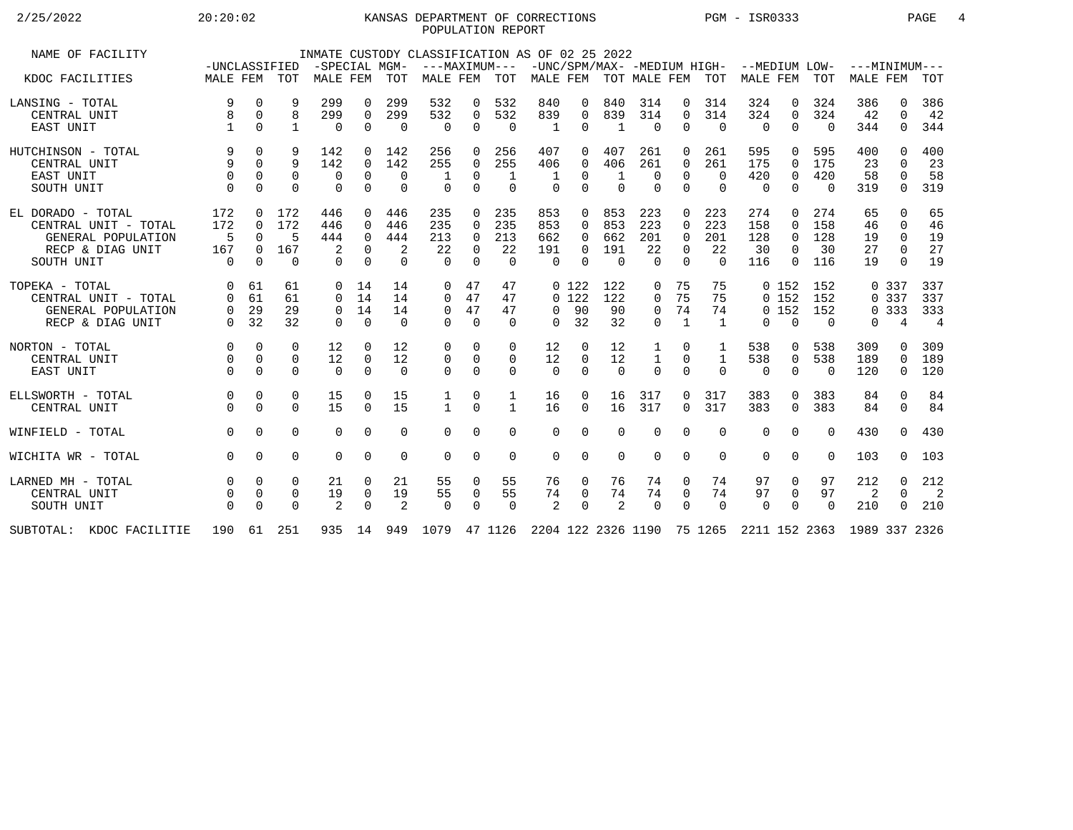## 2/25/2022 20:20:02 KANSAS DEPARTMENT OF CORRECTIONS PGM - ISR0333 PAGE 4POPULATION REPORT

| NAME OF FACILITY         |              |             |              |             |             |          | INMATE CUSTODY CLASSIFICATION AS OF 02 25 2022                                                    |             |              |              |             |                |              |                |                |          |             |          |          |          |                |
|--------------------------|--------------|-------------|--------------|-------------|-------------|----------|---------------------------------------------------------------------------------------------------|-------------|--------------|--------------|-------------|----------------|--------------|----------------|----------------|----------|-------------|----------|----------|----------|----------------|
|                          |              |             |              |             |             |          | -UNCLASSIFIED -SPECIAL MGM- ---MAXIMUM--- -UNC/SPM/MAX- -MEDIUM HIGH- --MEDIUM LOW- ---MINIMUM--- |             |              |              |             |                |              |                |                |          |             |          |          |          |                |
| KDOC FACILITIES          | MALE FEM TOT |             |              | MALE FEM    |             | TOT      | MALE FEM TOT MALE FEM TOT MALE FEM TOT MALE FEM TOT                                               |             |              |              |             |                |              |                |                |          |             |          | MALE FEM |          | TOT            |
| LANSING - TOTAL          | 9            | $\Omega$    | 9            | 299         | $\Omega$    | 299      | 532                                                                                               | $\Omega$    | 532          | 840          | 0           | 840            | 314          | $\Omega$       | 314            | 324      | $\Omega$    | 324      | 386      | $\Omega$ | 386            |
| CENTRAL UNIT             |              | $\Omega$    | 8            | 299         | $\Omega$    | 299      | 532                                                                                               | $\mathbf 0$ | 532          | 839          | 0           | 839            | 314          | $\Omega$       | 314            | 324      | $\Omega$    | 324      | 42       | 0        | 42             |
| EAST UNIT                |              | $\Omega$    | $\mathbf{1}$ | $\Omega$    | $\Omega$    | $\Omega$ | $\Omega$                                                                                          | $\Omega$    | $\Omega$     | $\mathbf{1}$ | $\Omega$    | $\mathbf{1}$   | $\Omega$     | $\Omega$       | $\overline{0}$ | $\Omega$ | $\Omega$    | $\Omega$ | 344      | $\Omega$ | 344            |
| HUTCHINSON - TOTAL       | 9            | $\mathbf 0$ | 9            | 142         | 0           | 142      | 256                                                                                               | 0           | 256          | 407          | 0           | 407            | 261          | 0              | 261            | 595      | $\Omega$    | 595      | 400      | $\Omega$ | 400            |
| CENTRAL UNIT             | 9            | $\Omega$    | 9            | 142         | $\mathbf 0$ | 142      | 255                                                                                               | $\mathbf 0$ | 255          | 406          | 0           | 406            | 261          | 0              | 261            | 175      | $\mathbf 0$ | 175      | 23       | $\Omega$ | 23             |
| EAST UNIT                | $\mathbf 0$  | $\Omega$    | $\Omega$     | $\mathbf 0$ | $\Omega$    | $\Omega$ | 1                                                                                                 | $\Omega$    | $\mathbf{1}$ | $\mathbf{1}$ | $\Omega$    | 1              | $\Omega$     | $\Omega$       | $\Omega$       | 420      | $\mathbf 0$ | 420      | 58       | $\Omega$ | 58             |
| SOUTH UNIT               | $\Omega$     | $\Omega$    | $\Omega$     | $\Omega$    | $\Omega$    | $\Omega$ | $\Omega$                                                                                          | $\Omega$    | $\Omega$     | $\Omega$     | $\Omega$    | $\Omega$       | $\Omega$     | $\Omega$       | $\Omega$       | $\Omega$ | $\Omega$    | $\Omega$ | 319      | $\Omega$ | 319            |
| EL DORADO - TOTAL        | 172          | $\Omega$    | 172          | 446         | $\Omega$    | 446      | 235                                                                                               | $\Omega$    | 235          | 853          | $\Omega$    | 853            | 223          | $\Omega$       | 223            | 274      | $\Omega$    | 274      | 65       | $\Omega$ | 65             |
| CENTRAL UNIT - TOTAL     | 172          | $\Omega$    | 172          | 446         | $\Omega$    | 446      | 235                                                                                               | $\Omega$    | 235          | 853          | 0           | 853            | 223          | $\Omega$       | 223            | 158      | $\Omega$    | 158      | 46       | $\Omega$ | 46             |
| GENERAL POPULATION       | -5           | $\Omega$    | 5            | 444         | $\Omega$    | 444      | 213                                                                                               | $\Omega$    | 213          | 662          | $\Omega$    | 662            | 201          | $\Omega$       | 201            | 128      | $\Omega$    | 128      | 19       | $\Omega$ | 19             |
| RECP & DIAG UNIT         | 167          | $\Omega$    | 167          | 2           | $\Omega$    | 2        | 22                                                                                                | 0           | 22           | 191          | $\Omega$    | 191            | 22           | $\Omega$       | 22             | 30       | $\Omega$    | 30       | 27       | $\Omega$ | 27             |
| SOUTH UNIT               | $\Omega$     | $\Omega$    | $\Omega$     | $\Omega$    | $\Omega$    | $\Omega$ | $\cap$                                                                                            | $\Omega$    | $\Omega$     | $\Omega$     | $\Omega$    | $\overline{0}$ | $\Omega$     | $\Omega$       | $\Omega$       | 116      | $\Omega$    | 116      | 19       | $\Omega$ | 19             |
|                          |              |             |              |             |             |          |                                                                                                   |             |              |              |             |                |              |                |                |          |             |          |          |          |                |
| TOPEKA - TOTAL           | $\Omega$     | 61          | 61           |             | $0 \t14$    | 14       | $\Omega$                                                                                          | 47          | 47           |              | 0 122       | 122            | 0            | 75             | 75             |          | 0, 152      | 152      |          | 0 337    | 337            |
| CENTRAL UNIT - TOTAL     |              | 61          | 61           | 0           | 14          | 14       | $\Omega$                                                                                          | 47          | 47           |              | $0\;122$    | 122            | 0            | 75             | 75             |          | 0, 152      | 152      |          | 0 3 3 7  | 337            |
| GENERAL POPULATION       | $\Omega$     | 29          | 29           | $\Omega$    | 14          | 14       | 0                                                                                                 | 47          | 47           | $\Omega$     | 90          | 90             | $\mathbf 0$  | 74             | 74             |          | 0152        | 152      |          | 0 3 3 3  | 333            |
| RECP & DIAG UNIT         | $\Omega$     | 32          | 32           | $\Omega$    | $\Omega$    | $\Omega$ | $\cap$                                                                                            | $\Omega$    | $\Omega$     | $\Omega$     | 32          | 32             | $\Omega$     | $\overline{1}$ | $\overline{1}$ | $\Omega$ | $\Omega$    | $\Omega$ | $\Omega$ | 4        | $\overline{4}$ |
|                          |              |             |              |             |             |          |                                                                                                   |             |              |              |             |                |              |                |                |          |             |          |          |          |                |
| NORTON - TOTAL           | $\Omega$     | $\Omega$    | 0            | 12          | $\Omega$    | 12       | 0                                                                                                 | 0           | 0            | 12           | 0           | 12             | 1            | 0              |                | 538      | 0           | 538      | 309      | 0        | 309            |
| CENTRAL UNIT             | $\Omega$     | $\Omega$    | $\Omega$     | 12          | $\Omega$    | 12       | $\mathbf 0$                                                                                       | $\Omega$    | $\Omega$     | 12           | $\Omega$    | 12             | $\mathbf{1}$ | $\Omega$       | $\mathbf{1}$   | 538      | $\mathbf 0$ | 538      | 189      | $\Omega$ | 189            |
| EAST UNIT                | $\Omega$     | $\Omega$    | $\Omega$     | $\Omega$    | $\Omega$    | $\Omega$ | $\Omega$                                                                                          | $\Omega$    | $\Omega$     | $\Omega$     | $\Omega$    | $\Omega$       | $\Omega$     | $\Omega$       | $\Omega$       | $\Omega$ | $\Omega$    | $\Omega$ | 120      | $\Omega$ | 120            |
|                          |              |             |              |             |             |          |                                                                                                   |             |              |              |             |                |              |                |                |          |             |          |          |          |                |
| ELLSWORTH - TOTAL        | $\Omega$     | $\mathbf 0$ | 0            | 15          | $\Omega$    | 15       | 1                                                                                                 | 0           | 1            | 16           | $\Omega$    | 16             | 317          | $\Omega$       | 317            | 383      | $\Omega$    | 383      | 84       | $\Omega$ | 84             |
| CENTRAL UNIT             |              | $\Omega$    | $\Omega$     | 15          | $\Omega$    | 15       | $\mathbf{1}$                                                                                      | $\Omega$    | $\mathbf{1}$ | 16           | $\Omega$    | 16             | 317          | $\Omega$       | 317            | 383      | $\Omega$    | 383      | 84       | $\Omega$ | 84             |
| WINFIELD - TOTAL         | $\Omega$     | $\Omega$    | $\Omega$     | $\Omega$    | $\Omega$    | $\Omega$ | $\Omega$                                                                                          | $\Omega$    | 0            | $\mathbf 0$  | $\mathbf 0$ | $\Omega$       | $\Omega$     | $\Omega$       | $\Omega$       | $\Omega$ | $\Omega$    | $\Omega$ | 430      | $\Omega$ | 430            |
|                          |              |             |              |             |             |          |                                                                                                   |             |              |              |             |                |              |                |                |          |             |          |          |          |                |
| WICHITA WR - TOTAL       | $\Omega$     | $\Omega$    | $\Omega$     | $\Omega$    | $\Omega$    | $\Omega$ | $\Omega$                                                                                          | $\Omega$    | $\Omega$     | $\Omega$     | $\Omega$    | $\Omega$       | $\Omega$     | $\Omega$       | $\Omega$       | $\Omega$ | $\Omega$    | $\Omega$ | 103      | $\Omega$ | 103            |
| LARNED MH - TOTAL        |              | $\Omega$    | $\Omega$     | 21          |             | 21       | 55                                                                                                | 0           | 55           | 76           | 0           | 76             | 74           | 0              | 74             | 97       | 0           | 97       | 212      | $\Omega$ | 212            |
| CENTRAL UNIT             |              | $\Omega$    | $\Omega$     | 19          | $\mathbf 0$ | 19       | 55                                                                                                | $\mathbf 0$ | 55           | 74           | $\Omega$    | 74             | 74           | $\Omega$       | 74             | 97       | $\mathbf 0$ | 97       | 2        | $\Omega$ | $\overline{2}$ |
| SOUTH UNIT               | $\Omega$     | $\Omega$    | $\Omega$     | 2           | $\Omega$    | 2        | $\Omega$                                                                                          | $\Omega$    | $\Omega$     | 2            | $\Omega$    | 2              | $\Omega$     | $\Omega$       | $\Omega$       | $\Omega$ | $\Omega$    | $\Omega$ | 210      | $\Omega$ | 210            |
|                          |              |             |              |             |             |          |                                                                                                   |             |              |              |             |                |              |                |                |          |             |          |          |          |                |
| SUBTOTAL: KDOC FACILITIE | 190          |             | 61 251       | 935 14      |             |          | 949 1079 47 1126 2204 122 2326 1190 75 1265 2211 152 2363 1989 337 2326                           |             |              |              |             |                |              |                |                |          |             |          |          |          |                |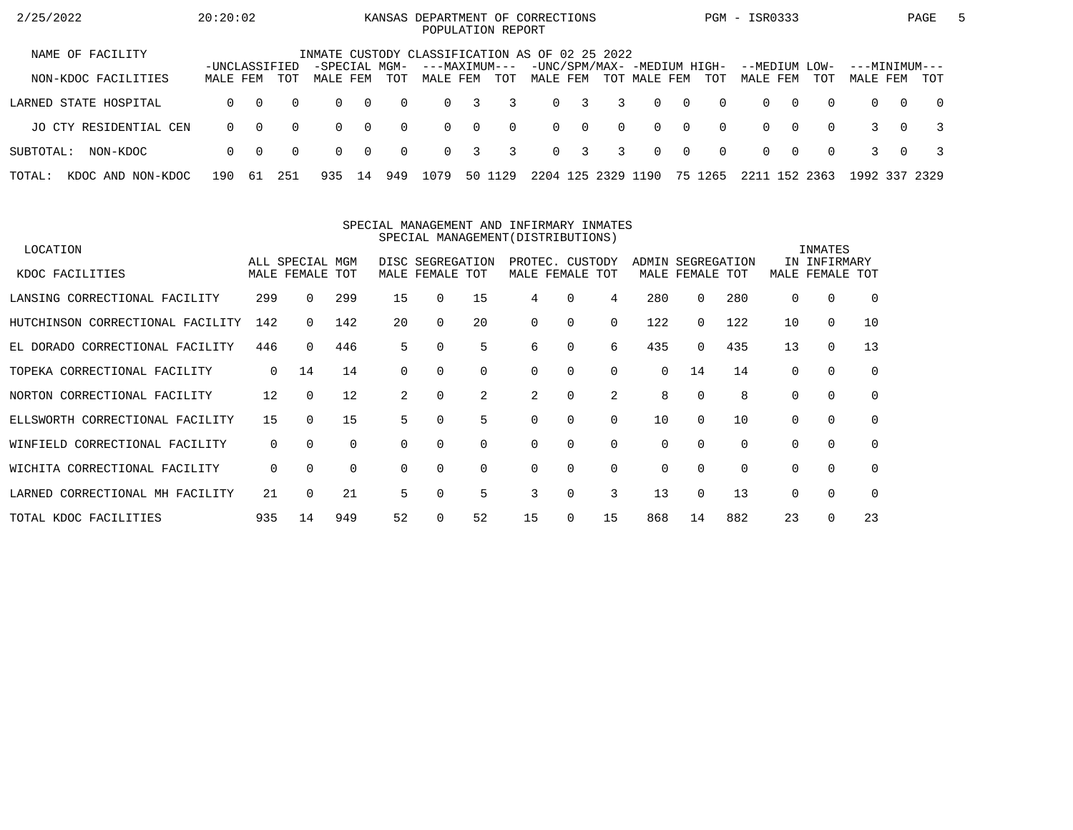| 2/25/2022                   | 20:20:02                  |          |          |                           |                |          | KANSAS DEPARTMENT OF CORRECTIONS<br>POPULATION REPORT |          |          |          |             |                |                                             |                |          | PGM - ISR0333             |          |          |                           |          | PAGE           | 5 |
|-----------------------------|---------------------------|----------|----------|---------------------------|----------------|----------|-------------------------------------------------------|----------|----------|----------|-------------|----------------|---------------------------------------------|----------------|----------|---------------------------|----------|----------|---------------------------|----------|----------------|---|
| NAME OF FACILITY            |                           |          |          |                           |                |          | INMATE CUSTODY CLASSIFICATION AS OF 02 25 2022        |          |          |          |             |                |                                             |                |          |                           |          |          |                           |          |                |   |
| NON-KDOC FACILITIES         | -UNCLASSIFIED<br>MALE FEM |          | TOT      | -SPECIAL MGM-<br>MALE FEM |                | TOT      | ---MAXIMUM---<br>MALE FEM                             |          | TOT      | MALE FEM |             |                | -UNC/SPM/MAX- -MEDIUM HIGH-<br>TOT MALE FEM |                | TOT      | --MEDIUM LOW-<br>MALE FEM |          | TOT      | ---MINIMUM---<br>MALE FEM |          | TOT            |   |
| LARNED STATE HOSPITAL       | $\Omega$                  | $\Omega$ | $\Omega$ | $\Omega$                  | $\overline{0}$ | $\Omega$ | $\Omega$                                              | 3        | 3        |          | $0 \quad 3$ | $\overline{3}$ | $\Omega$                                    | $\overline{0}$ | $\Omega$ | $\Omega$                  | $\Omega$ | $\Omega$ | $\Omega$                  | $\Omega$ | $\overline{0}$ |   |
| JO CTY RESIDENTIAL CEN      | $\Omega$                  | $\Omega$ | $\Omega$ | $\Omega$                  | $\bigcap$      | $\Omega$ | $\Omega$                                              | $\Omega$ | $\Omega$ |          | $0 \quad 0$ | $\Omega$       | $\Omega$                                    | $\bigcirc$     | $\Omega$ | $\Omega$                  | $\Omega$ | $\Omega$ |                           | $\Omega$ |                |   |
| SUBTOTAL:<br>NON-KDOC       | $\Omega$                  | $\Omega$ | $\Omega$ | $\Omega$                  | $\overline{0}$ | $\Omega$ | $\Omega$                                              | 3        | 3        |          | $0 \quad 3$ | 3              | $\Omega$                                    | $\overline{0}$ | $\Omega$ | $\Omega$                  | റ        | $\Omega$ |                           | $\Omega$ |                |   |
| TOTAL:<br>KDOC AND NON-KDOC | 190                       | -61      | 251      | 935                       | 14             | 949      | 1079                                                  | 50 1     | 129      | 2204     | 125         | 2329           | 1190                                        |                | 75 1265  | 2211                      |          | 152 2363 | 1992 337 2329             |          |                |   |

#### SPECIAL MANAGEMENT AND INFIRMARY INMATESSPECIAL MANAGEMENT(DISTRIBUTIONS)

| LOCATION                           |          |                 |          |          |                  |          |             |          |          |          |                 |          |          | INMATES      |             |
|------------------------------------|----------|-----------------|----------|----------|------------------|----------|-------------|----------|----------|----------|-----------------|----------|----------|--------------|-------------|
|                                    |          | ALL SPECIAL MGM |          |          | DISC SEGREGATION |          | PROTEC.     |          | CUSTODY  | ADMIN    | SEGREGATION     |          |          | IN INFIRMARY |             |
| KDOC FACILITIES                    |          | MALE FEMALE     | TOT      |          | MALE FEMALE TOT  |          | MALE FEMALE |          | TOT      |          | MALE FEMALE TOT |          | MALE     | FEMALE TOT   |             |
| LANSING CORRECTIONAL FACILITY      | 299      |                 | 299      | 15       | $\Omega$         | 15       | 4           | 0        | 4        | 280      | 0               | 280      | $\Omega$ | $\Omega$     | $\Omega$    |
| HUTCHINSON CORRECTIONAL FACILITY   | 142      | $\Omega$        | 142      | 20       | $\Omega$         | 20       | $\Omega$    | 0        | $\Omega$ | 122      | 0               | 122      | 10       | $\mathbf 0$  | 10          |
| EL DORADO CORRECTIONAL FACILITY    | 446      | $\Omega$        | 446      | 5        | 0                | 5        | 6           | 0        | 6        | 435      | 0               | 435      | 13       | 0            | 13          |
| TOPEKA CORRECTIONAL FACILITY       | 0        | 14              | 14       | $\Omega$ | $\Omega$         | $\Omega$ | $\Omega$    | $\Omega$ | $\Omega$ | 0        | 14              | 14       | 0        | $\Omega$     | $\mathbf 0$ |
| NORTON CORRECTIONAL FACILITY       | 12       | $\Omega$        | 12       | 2        | $\Omega$         | 2        | 2           | 0        | 2        | 8        |                 | 8        | $\Omega$ | $\Omega$     | 0           |
| ELLSWORTH CORRECTIONAL FACILITY    | 15       | $\Omega$        | 15       | 5.       | $\Omega$         | 5        | $\Omega$    | 0        | $\Omega$ | 10       | 0               | 10       | 0        | $\Omega$     | $\mathbf 0$ |
| CORRECTIONAL FACILITY<br>WINFIELD  | 0        | $\Omega$        | $\Omega$ | $\Omega$ | $\Omega$         | 0        | $\Omega$    | 0        | $\Omega$ | 0        | 0               |          | 0        | $\mathbf 0$  | $\mathbf 0$ |
| WICHITA CORRECTIONAL FACILITY      | $\Omega$ | $\Omega$        | $\Omega$ | $\Omega$ | $\Omega$         | $\Omega$ | $\Omega$    | $\Omega$ | $\Omega$ | $\Omega$ | 0               | $\Omega$ | 0        | $\Omega$     | $\Omega$    |
| CORRECTIONAL MH FACILITY<br>LARNED | 21       |                 | 21       | 5        | $\Omega$         | 5        | 3           | $\Omega$ | 3        | 13       | 0               | 13       | $\Omega$ | $\Omega$     | $\Omega$    |
| TOTAL KDOC FACILITIES              | 935      | 14              | 949      | 52       |                  | 52       | 15          | 0        | 15       | 868      | 14              | 882      | 23       | $\Omega$     | 23          |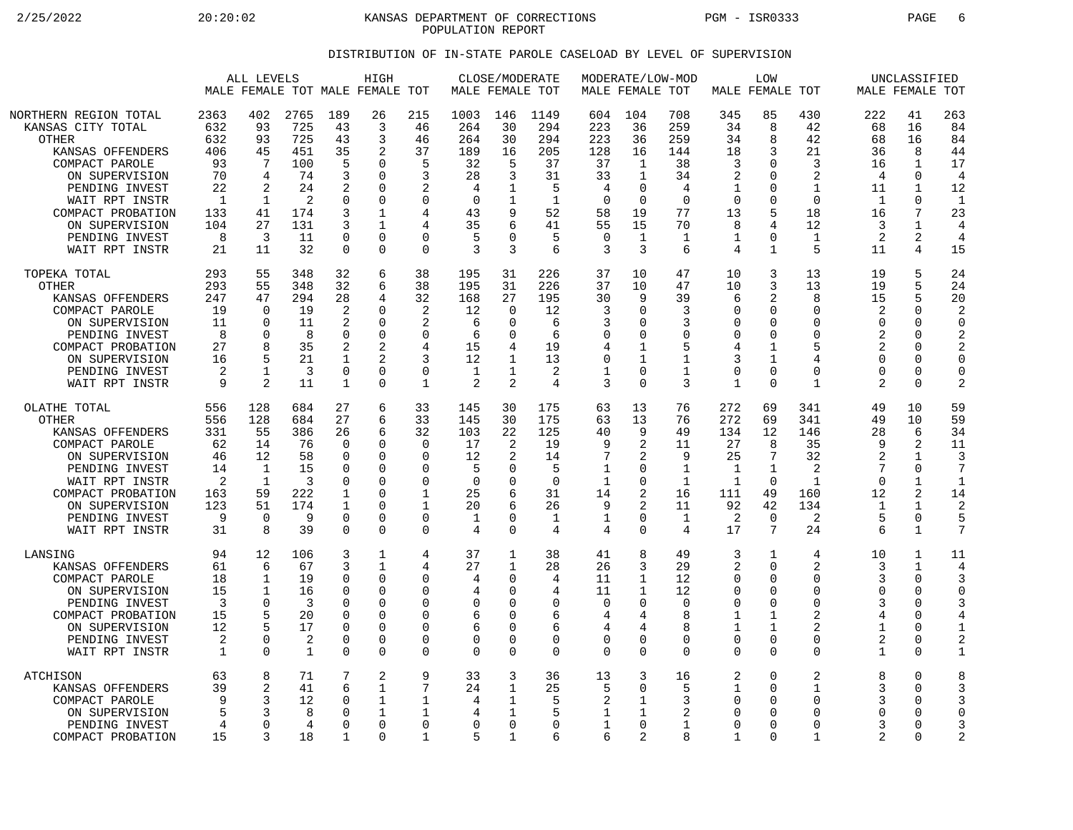2/25/2022 20:20:02 20:20:02 KANSAS DEPARTMENT OF CORRECTIONS PGM - ISR0333 PAGE 6 POPULATION REPORT

## DISTRIBUTION OF IN-STATE PAROLE CASELOAD BY LEVEL OF SUPERVISION

|                                                                                                                                                                                                                                   | ALL LEVELS<br>MALE FEMALE TOT MALE FEMALE TOT                                        |                                                                                |                                                                             |                                                                                       | HIGH                                                                                                        |                                                                                                             | MALE FEMALE TOT                                                                | CLOSE/MODERATE                                                                    |                                                                                 |                                                                                       | MALE FEMALE TOT                                                                                         | MODERATE/LOW-MOD                                                                      |                                                                                          | <b>LOW</b><br>MALE FEMALE TOT                                                                                 |                                                                                                                        |                                                                                          | UNCLASSIFIED<br>MALE FEMALE TOT                                                                                         |                                                                                                        |
|-----------------------------------------------------------------------------------------------------------------------------------------------------------------------------------------------------------------------------------|--------------------------------------------------------------------------------------|--------------------------------------------------------------------------------|-----------------------------------------------------------------------------|---------------------------------------------------------------------------------------|-------------------------------------------------------------------------------------------------------------|-------------------------------------------------------------------------------------------------------------|--------------------------------------------------------------------------------|-----------------------------------------------------------------------------------|---------------------------------------------------------------------------------|---------------------------------------------------------------------------------------|---------------------------------------------------------------------------------------------------------|---------------------------------------------------------------------------------------|------------------------------------------------------------------------------------------|---------------------------------------------------------------------------------------------------------------|------------------------------------------------------------------------------------------------------------------------|------------------------------------------------------------------------------------------|-------------------------------------------------------------------------------------------------------------------------|--------------------------------------------------------------------------------------------------------|
| NORTHERN REGION TOTAL<br>KANSAS CITY TOTAL<br><b>OTHER</b><br>KANSAS OFFENDERS<br>COMPACT PAROLE<br>ON SUPERVISION<br>PENDING INVEST<br>WAIT RPT INSTR<br>COMPACT PROBATION<br>ON SUPERVISION<br>PENDING INVEST<br>WAIT RPT INSTR | 2363<br>632<br>632<br>406<br>93<br>70<br>22<br>$\mathbf{1}$<br>133<br>104<br>8<br>21 | 402<br>93<br>93<br>45<br>7<br>4<br>2<br>$\mathbf{1}$<br>41<br>27<br>3<br>11    | 2765<br>725<br>725<br>451<br>100<br>74<br>24<br>2<br>174<br>131<br>11<br>32 | 189<br>43<br>43<br>35<br>5<br>3<br>2<br>$\Omega$<br>3<br>3<br>0<br>$\Omega$           | 26<br>3<br>3<br>2<br>O<br>$\Omega$<br>0<br>$\Omega$<br>$\mathbf{1}$<br>$\mathbf{1}$<br>$\Omega$<br>$\Omega$ | 215<br>46<br>46<br>37<br>5<br>3<br>2<br>$\Omega$<br>4<br>4<br>$\Omega$<br>$\Omega$                          | 1003<br>264<br>264<br>189<br>32<br>28<br>4<br>$\Omega$<br>43<br>35<br>5<br>3   | 146<br>30<br>30<br>16<br>5<br>3<br>1<br>9<br>6<br>$\Omega$<br>3                   | 1149<br>294<br>294<br>205<br>37<br>31<br>5<br>-1<br>52<br>41<br>5<br>6          | 604<br>223<br>223<br>128<br>37<br>33<br>4<br>$\Omega$<br>58<br>55<br>$\mathbf 0$<br>3 | 104<br>36<br>36<br>16<br>$\mathbf{1}$<br>$\mathbf{1}$<br>0<br>$\Omega$<br>19<br>15<br>$\mathbf{1}$<br>3 | 708<br>259<br>259<br>144<br>38<br>34<br>4<br>$\Omega$<br>77<br>70<br>$\mathbf 1$<br>6 | 345<br>34<br>34<br>18<br>3<br>$\overline{2}$<br>1<br>$\Omega$<br>13<br>8<br>1<br>4       | 85<br>8<br>8<br>3<br>$\Omega$<br>$\Omega$<br>0<br>$\Omega$<br>5<br>4<br>$\Omega$<br>$\mathbf{1}$              | 430<br>42<br>42<br>21<br>3<br>$\mathcal{D}$<br>$\mathbf{1}$<br>$\Omega$<br>18<br>12<br>$\mathbf 1$<br>5                | 222<br>68<br>68<br>36<br>16<br>4<br>11<br>$\mathbf 1$<br>16<br>3<br>$\overline{2}$<br>11 | 41<br>16<br>16<br>8<br>$\mathbf{1}$<br>$\Omega$<br>$\mathbf{1}$<br>$\Omega$<br>7<br>$\mathbf{1}$<br>$\overline{a}$<br>4 | 263<br>84<br>84<br>44<br>17<br>$\overline{4}$<br>12<br>$\mathbf{1}$<br>23<br>4<br>$\overline{4}$<br>15 |
| TOPEKA TOTAL<br><b>OTHER</b><br>KANSAS OFFENDERS<br>COMPACT PAROLE<br>ON SUPERVISION<br>PENDING INVEST<br>COMPACT PROBATION<br>ON SUPERVISION<br>PENDING INVEST<br>WAIT RPT INSTR                                                 | 293<br>293<br>247<br>19<br>11<br>8<br>27<br>16<br>2<br>9                             | 55<br>55<br>47<br>$\Omega$<br>$\Omega$<br>0<br>8<br>5<br>$\mathbf{1}$<br>2     | 348<br>348<br>294<br>19<br>11<br>8<br>35<br>21<br>3<br>11                   | 32<br>32<br>28<br>2<br>2<br>$\Omega$<br>2<br>1<br>$\mathbf 0$<br>1                    | 6<br>6<br>4<br>$\Omega$<br>$\Omega$<br>$\Omega$<br>2<br>2<br>$\Omega$<br>$\Omega$                           | 38<br>38<br>32<br>2<br>2<br>$\Omega$<br>4<br>3<br>$\Omega$<br>1                                             | 195<br>195<br>168<br>12<br>6<br>6<br>15<br>12<br>$\mathbf 1$<br>$\overline{2}$ | 31<br>31<br>27<br>$\Omega$<br>$\Omega$<br>$\Omega$<br>4<br>1<br>$\overline{2}$    | 226<br>226<br>195<br>12<br>6<br>6<br>19<br>13<br>2<br>4                         | 37<br>37<br>30<br>3<br>3<br>$\mathbf 0$<br>4<br>$\mathbf 0$<br>$\mathbf 1$<br>3       | 10<br>10<br>9<br>$\Omega$<br>$\Omega$<br>0<br>1<br>$\mathbf{1}$<br>$\Omega$<br>$\Omega$                 | 47<br>47<br>39<br>3<br>3<br>$\mathbf 0$<br>5<br>$\mathbf 1$<br>1<br>3                 | 10<br>10<br>6<br>$\Omega$<br>$\Omega$<br>$\Omega$<br>4<br>3<br>$\Omega$<br>1             | 3<br>3<br>2<br>$\mathbf 0$<br>$\Omega$<br>$\mathbf 0$<br>$\mathbf{1}$<br>$\mathbf{1}$<br>$\Omega$<br>$\Omega$ | 13<br>13<br>8<br>$\Omega$<br>$\Omega$<br>$\Omega$<br>5<br>4<br>$\Omega$<br>$\mathbf 1$                                 | 19<br>19<br>15<br>2<br>$\Omega$<br>2<br>2<br>$\Omega$<br>$\Omega$<br>2                   | 5<br>5<br>5<br>$\Omega$<br>O<br>0<br>O<br>0<br>$\Omega$<br>0                                                            | 24<br>24<br>20<br>2<br>$\Omega$<br>$\overline{2}$<br>$\overline{2}$<br>$\Omega$<br>$\Omega$<br>2       |
| OLATHE TOTAL<br>OTHER<br>KANSAS OFFENDERS<br>COMPACT PAROLE<br>ON SUPERVISION<br>PENDING INVEST<br>WAIT RPT INSTR<br>COMPACT PROBATION<br>ON SUPERVISION<br>PENDING INVEST<br>WAIT RPT INSTR                                      | 556<br>556<br>331<br>62<br>46<br>14<br>2<br>163<br>123<br>9<br>31                    | 128<br>128<br>55<br>14<br>12<br>1<br>$\mathbf{1}$<br>59<br>51<br>$\Omega$<br>8 | 684<br>684<br>386<br>76<br>58<br>15<br>3<br>222<br>174<br>9<br>39           | 27<br>27<br>26<br>$\Omega$<br>0<br>O<br>$\Omega$<br>1<br>1<br>$\Omega$<br>$\mathbf 0$ | 6<br>6<br>6<br>$\Omega$<br>0<br>$\Omega$<br>0<br>O<br>0<br>$\Omega$<br>$\Omega$                             | 33<br>33<br>32<br>$\Omega$<br>$\Omega$<br>$\Omega$<br>$\Omega$<br>$\mathbf{1}$<br>1<br>$\Omega$<br>$\Omega$ | 145<br>145<br>103<br>17<br>12<br>5<br>$\mathbf 0$<br>25<br>20<br>1<br>4        | 30<br>30<br>22<br>2<br>$\overline{2}$<br>0<br>$\Omega$<br>6<br>6<br>O<br>$\Omega$ | 175<br>175<br>125<br>19<br>14<br>5<br>$\Omega$<br>31<br>26<br>$\mathbf{1}$<br>4 | 63<br>63<br>40<br>9<br>7<br>1<br>$\mathbf 1$<br>14<br>9<br>$\mathbf 1$<br>4           | 13<br>13<br>9<br>2<br>2<br>0<br>0<br>2<br>$\overline{2}$<br>0<br>$\Omega$                               | 76<br>76<br>49<br>11<br>9<br>1<br>$\mathbf{1}$<br>16<br>11<br>1<br>4                  | 272<br>272<br>134<br>27<br>25<br>1<br>$\mathbf{1}$<br>111<br>92<br>2<br>17               | 69<br>69<br>12<br>8<br>7<br>$\mathbf{1}$<br>$\Omega$<br>49<br>42<br>$\Omega$<br>7                             | 341<br>341<br>146<br>35<br>32<br>2<br>$\mathbf{1}$<br>160<br>134<br>2<br>24                                            | 49<br>49<br>28<br>q<br>2<br>7<br>$\mathbf 0$<br>12<br>1<br>5<br>6                        | 10<br>10<br>6<br>$\overline{2}$<br>$\mathbf{1}$<br>0<br>$\mathbf 1$<br>2<br>$\mathbf{1}$<br>0<br>$\mathbf{1}$           | 59<br>59<br>34<br>11<br>3<br>7<br>$\mathbf{1}$<br>14<br>2<br>5<br>7                                    |
| LANSING<br>KANSAS OFFENDERS<br>COMPACT PAROLE<br>ON SUPERVISION<br>PENDING INVEST<br>COMPACT PROBATION<br>ON SUPERVISION<br>PENDING INVEST<br>WAIT RPT INSTR                                                                      | 94<br>61<br>18<br>15<br>3<br>15<br>12<br>2<br>1                                      | 12<br>6<br>1<br>1<br>$\Omega$<br>5<br>0<br>$\mathbf 0$                         | 106<br>67<br>19<br>16<br>3<br>20<br>17<br>2<br>$\mathbf{1}$                 | 3<br>3<br>$\Omega$<br>$\Omega$<br>∩<br>$\Omega$<br>$\Omega$<br>0<br>$\mathbf 0$       | $\mathbf{1}$<br>$\mathbf{1}$<br>$\Omega$<br>$\Omega$<br>0<br>0<br>$\Omega$<br>0<br>$\Omega$                 | 4<br>4<br>0<br>$\Omega$<br>$\Omega$<br>$\Omega$<br>$\Omega$<br>0<br>$\mathbf 0$                             | 37<br>27<br>4<br>4<br>0<br>6<br>6<br>0<br>$\mathbf 0$                          | 1<br>1<br>0<br>O<br>$\Omega$<br>O<br>0<br>0<br>$\mathbf 0$                        | 38<br>28<br>4<br>4<br>0<br>6<br>6<br>0<br>0                                     | 41<br>26<br>11<br>11<br>0<br>4<br>4<br>0<br>$\mathbf 0$                               | 8<br>3<br>$\mathbf{1}$<br>1<br>$\Omega$<br>4<br>4<br>0<br>0                                             | 49<br>29<br>12<br>12<br>$\Omega$<br>8<br>8<br>0<br>$\mathbf 0$                        | 3<br>2<br>$\mathbf 0$<br>$\Omega$<br>$\mathbf 0$<br>1<br>1<br>$\mathbf 0$<br>$\mathbf 0$ | 1<br>$\Omega$<br>0<br>$\Omega$<br>0<br>1<br>$\mathbf{1}$<br>0<br>$\mathbf 0$                                  | 4<br>$\overline{c}$<br>$\Omega$<br>$\Omega$<br>$\Omega$<br>$\overline{c}$<br>$\overline{2}$<br>$\Omega$<br>$\mathbf 0$ | 10<br>3<br>3<br>$\Omega$<br>3<br>4<br>1<br>$\overline{2}$<br>$\mathbf 1$                 | 1<br>$\mathbf{1}$<br>0<br>O<br>U<br>0<br>0<br>0<br>0                                                                    | 11<br>4<br>3<br>$\Omega$<br>3<br>4<br>1<br>2<br>1                                                      |
| ATCHISON<br>KANSAS OFFENDERS<br>COMPACT PAROLE<br>ON SUPERVISION<br>PENDING INVEST<br>COMPACT PROBATION                                                                                                                           | 63<br>39<br>q<br>5<br>4<br>15                                                        | 8<br>$\overline{2}$<br>3<br>3<br>0<br>3                                        | 71<br>41<br>12<br>8<br>4<br>18                                              | 7<br>6<br>$\Omega$<br>$\Omega$<br>$\Omega$<br>1                                       | 2<br>1<br>1<br>$\mathbf{1}$<br>$\Omega$<br>0                                                                | 9<br>7<br>1<br>1<br>$\mathbf 0$<br>$\mathbf{1}$                                                             | 33<br>24<br>4<br>4<br>$\Omega$<br>5                                            | 3<br>1<br>1<br>1<br>$\mathbf 0$<br>1                                              | 36<br>25<br>5<br>5<br>$\Omega$<br>6                                             | 13<br>5<br>2<br>1<br>$\mathbf{1}$<br>6                                                | 3<br>0<br>1<br>1<br>0<br>$\overline{2}$                                                                 | 16<br>5<br>3<br>2<br>1<br>8                                                           | 2<br>1<br>0<br>$\Omega$<br>$\mathbf 0$<br>1                                              | $\mathbf 0$<br>$\Omega$<br>$\Omega$<br>$\Omega$<br>$\mathbf 0$<br>$\Omega$                                    | 2<br>1<br>$\Omega$<br>$\Omega$<br>$\Omega$<br>$\mathbf{1}$                                                             | 8<br>3<br>3<br>$\Omega$<br>3<br>$\overline{c}$                                           | 0<br>O<br>O<br>O<br>O<br>0                                                                                              | 8<br>3<br>3<br>U<br>3<br>2                                                                             |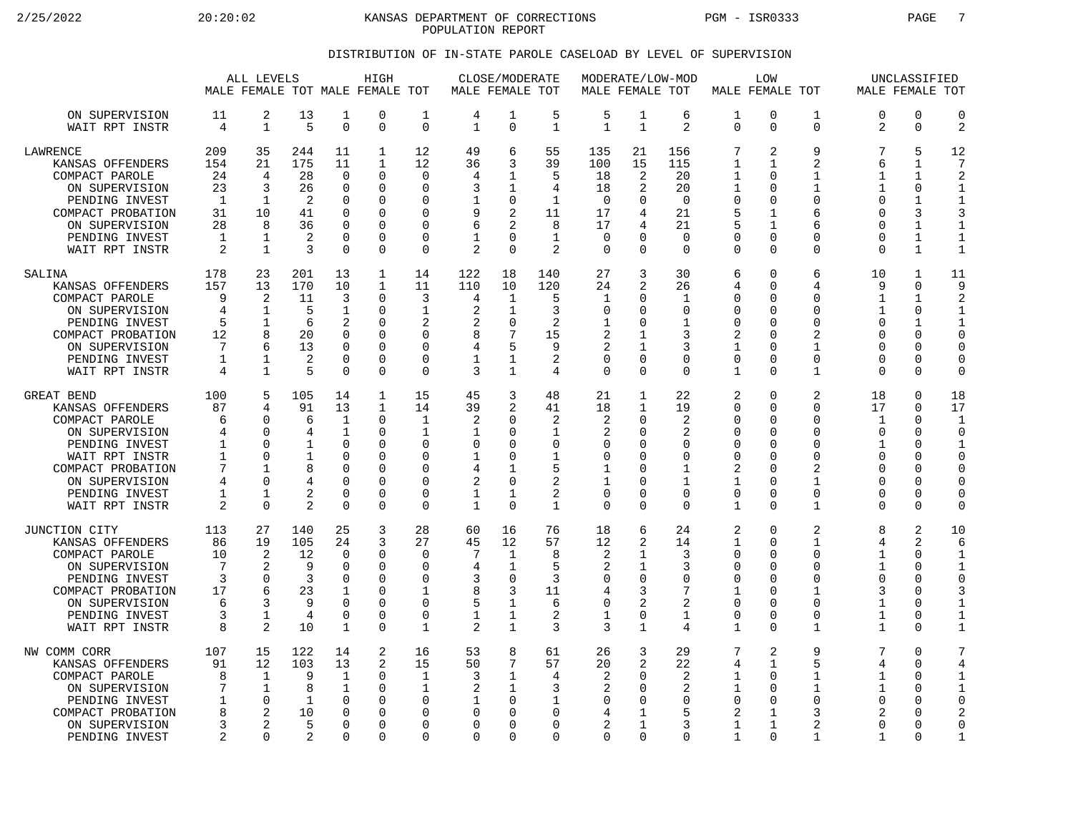2/25/2022 20:20:02 20:20:02 KANSAS DEPARTMENT OF CORRECTIONS PGM - ISR0333 PAGE 7 POPULATION REPORT

## DISTRIBUTION OF IN-STATE PAROLE CASELOAD BY LEVEL OF SUPERVISION

|                                                                                                                                                                                   |                                                              | ALL LEVELS                                                                                        |                                                                |                                                                                                         | HIGH<br>MALE FEMALE TOT MALE FEMALE TOT                                                  |                                                                                            | MALE FEMALE TOT                                                    | CLOSE/MODERATE                                                                                         |                                                                    | MALE FEMALE TOT                                             |                                                                                                                           | MODERATE/LOW-MOD                                                             |                                                                                                      | LOW<br>MALE FEMALE TOT                                                |                                                                                                                                     | MALE FEMALE TOT                                                           | UNCLASSIFIED                                                                                     |                                                                                                               |
|-----------------------------------------------------------------------------------------------------------------------------------------------------------------------------------|--------------------------------------------------------------|---------------------------------------------------------------------------------------------------|----------------------------------------------------------------|---------------------------------------------------------------------------------------------------------|------------------------------------------------------------------------------------------|--------------------------------------------------------------------------------------------|--------------------------------------------------------------------|--------------------------------------------------------------------------------------------------------|--------------------------------------------------------------------|-------------------------------------------------------------|---------------------------------------------------------------------------------------------------------------------------|------------------------------------------------------------------------------|------------------------------------------------------------------------------------------------------|-----------------------------------------------------------------------|-------------------------------------------------------------------------------------------------------------------------------------|---------------------------------------------------------------------------|--------------------------------------------------------------------------------------------------|---------------------------------------------------------------------------------------------------------------|
| ON SUPERVISION<br>WAIT RPT INSTR                                                                                                                                                  | 11<br>4                                                      | 2<br>$\mathbf 1$                                                                                  | 13<br>5                                                        | 1<br>$\overline{0}$                                                                                     | 0<br>0                                                                                   | 1<br>$\mathbf 0$                                                                           | 4<br>1                                                             | 1<br>$\mathbf 0$                                                                                       | 5<br>$\mathbf{1}$                                                  | 5<br>$\mathbf{1}$                                           | 1<br>$\mathbf{1}$                                                                                                         | 6<br>2                                                                       | 1<br>$\mathbf 0$                                                                                     | 0<br>0                                                                | 1<br>$\mathbf 0$                                                                                                                    | 0<br>2                                                                    | 0<br>0                                                                                           | $\mathbf 0$<br>$\overline{2}$                                                                                 |
| <b>LAWRENCE</b><br>KANSAS OFFENDERS<br>COMPACT PAROLE<br>ON SUPERVISION<br>PENDING INVEST<br>COMPACT PROBATION<br>ON SUPERVISION<br>PENDING INVEST<br>WAIT RPT INSTR              | 209<br>154<br>24<br>23<br>1<br>31<br>28<br>$\mathbf{1}$<br>2 | 35<br>21<br>4<br>3<br>1<br>10<br>8<br>1<br>$\mathbf{1}$                                           | 244<br>175<br>28<br>26<br>2<br>41<br>36<br>$\overline{2}$<br>3 | 11<br>11<br>$\Omega$<br>$\Omega$<br>$\Omega$<br>$\Omega$<br>$\mathbf 0$<br>$\Omega$<br>$\Omega$         | $\mathbf{1}$<br>$\mathbf 1$<br>0<br>0<br>0<br>O<br>O<br>0<br>0                           | 12<br>12<br>$\Omega$<br>0<br>$\Omega$<br>$\Omega$<br>0<br>$\Omega$<br>$\Omega$             | 49<br>36<br>4<br>3<br>1<br>9<br>6<br>1<br>$\overline{2}$           | 6<br>3<br>1<br>1<br>$\mathbf 0$<br>2<br>2<br>$\Omega$<br>$\Omega$                                      | 55<br>39<br>5<br>4<br>$\mathbf{1}$<br>11<br>8<br>$\mathbf{1}$<br>2 | 135<br>100<br>18<br>18<br>$\mathbf 0$<br>17<br>17<br>0<br>0 | 21<br>15<br>2<br>2<br>$\Omega$<br>4<br>4<br><sup>n</sup><br>$\Omega$                                                      | 156<br>115<br>20<br>20<br>$\overline{0}$<br>21<br>21<br>$\Omega$<br>$\Omega$ | 7<br>1<br>1<br>1<br>$\mathbf 0$<br>5<br>5<br>$\mathbf 0$<br>$\Omega$                                 | 2<br>1<br>0<br>0<br>0<br>1<br>1<br>$\Omega$<br>$\Omega$               | 9<br>2<br>$\mathbf{1}$<br>$\mathbf{1}$<br>$\mathbf 0$<br>6<br>6<br>$\Omega$<br>$\Omega$                                             | 7<br>6<br>1<br>1<br>$\Omega$<br>U<br>U<br>0<br>$\Omega$                   | 5<br>1<br>$\mathbf{1}$<br>0<br>$\mathbf{1}$<br>3<br>$\mathbf{1}$<br>$\mathbf{1}$<br>$\mathbf{1}$ | 12<br>7<br>$\overline{2}$<br>$\mathbf{1}$<br>$\mathbf{1}$<br>3<br>$\mathbf 1$<br>$\mathbf{1}$<br>$\mathbf{1}$ |
| SALINA<br>KANSAS OFFENDERS<br>COMPACT PAROLE<br>ON SUPERVISION<br>PENDING INVEST<br>COMPACT PROBATION<br>ON SUPERVISION<br>PENDING INVEST<br>WAIT RPT INSTR                       | 178<br>157<br>9<br>4<br>5<br>12<br>7<br>1<br>4               | 23<br>13<br>2<br>1<br>$\mathbf 1$<br>8<br>6<br>1<br>$\mathbf{1}$                                  | 201<br>170<br>11<br>5<br>6<br>20<br>13<br>2<br>5               | 13<br>10<br>3<br>1<br>$\overline{2}$<br>$\Omega$<br>$\Omega$<br>$\Omega$<br>$\Omega$                    | 1<br>$\mathbf 1$<br>$\Omega$<br>0<br>0<br>O<br>0<br>O<br>U                               | 14<br>11<br>3<br>1<br>2<br>$\Omega$<br>$\mathbf 0$<br>$\Omega$<br>$\Omega$                 | 122<br>110<br>4<br>2<br>2<br>8<br>4<br>1<br>3                      | 18<br>10<br>1<br>1<br>$\mathbf 0$<br>7<br>5<br>1<br>1                                                  | 140<br>120<br>5<br>3<br>2<br>15<br>9<br>2<br>4                     | 27<br>24<br>1<br>0<br>1<br>2<br>2<br>0<br>0                 | 3<br>$\overline{2}$<br><sup>0</sup><br><sup>n</sup><br><sup>0</sup><br>1<br>0<br>$\Omega$                                 | 30<br>26<br>1<br>0<br>$\mathbf{1}$<br>3<br>3<br>0<br>$\Omega$                | 6<br>4<br>0<br>0<br>$\mathbf 0$<br>2<br>1<br>0<br>1                                                  | $\Omega$<br>0<br>$\Omega$<br>U<br>O<br>U<br>0<br>$\Omega$<br>$\Omega$ | 6<br>4<br>$\Omega$<br>0<br>$\mathbf 0$<br>2<br>$\mathbf{1}$<br>$\mathbf 0$<br>$\mathbf 1$                                           | 10<br>9<br>1<br>1<br>$\Omega$<br>U<br>0<br>$\Omega$<br>U                  | 1<br>0<br>1<br>0<br>$\mathbf{1}$<br>$\Omega$<br>$\Omega$<br>$\Omega$<br>$\Omega$                 | 11<br>9<br>2<br>$\mathbf{1}$<br>$\mathbf{1}$<br>0<br>$\Omega$<br>$\mathbf 0$<br>$\mathbf 0$                   |
| GREAT BEND<br>KANSAS OFFENDERS<br>COMPACT PAROLE<br>ON SUPERVISION<br>PENDING INVEST<br>WAIT RPT INSTR<br>COMPACT PROBATION<br>ON SUPERVISION<br>PENDING INVEST<br>WAIT RPT INSTR | 100<br>87<br>6<br>4<br>1<br>1<br>7<br>4<br>1<br>2            | 5<br>$\overline{4}$<br>∩<br>$\Omega$<br>$\Omega$<br>∩<br>1<br>$\Omega$<br>$\mathbf 1$<br>$\Omega$ | 105<br>91<br>6<br>4<br>1<br>1<br>8<br>2<br>$\overline{2}$      | 14<br>13<br>1<br>$\mathbf 1$<br>$\Omega$<br>$\Omega$<br>$\Omega$<br>$\Omega$<br>$\mathbf 0$<br>$\Omega$ | $\mathbf 1$<br>$\mathbf{1}$<br>$\Omega$<br>0<br>O<br>U<br>0<br>O<br>$\Omega$<br>$\Omega$ | 15<br>14<br>$\mathbf{1}$<br>1<br>$\Omega$<br>$\Omega$<br>0<br>$\mathbf 0$<br>0<br>$\Omega$ | 45<br>39<br>2<br>1<br>$\Omega$<br>1<br>4<br>2<br>1<br>$\mathbf{1}$ | 3<br>$\overline{2}$<br>$\Omega$<br>$\Omega$<br>$\Omega$<br>$\cap$<br>1<br>$\mathbf 0$<br>1<br>$\Omega$ | 48<br>41<br>2<br>1<br>0<br>1<br>5<br>2<br>2<br>$\mathbf{1}$        | 21<br>18<br>2<br>2<br>0<br>0<br>1<br>1<br>0<br>0            | 1<br>$\mathbf{1}$<br><sup>n</sup><br>$\Omega$<br><sup>0</sup><br><sup>n</sup><br><sup>0</sup><br><sup>0</sup><br>$\Omega$ | 22<br>19<br>2<br>2<br>$\Omega$<br>0<br>1<br>1<br>$\mathbf 0$<br>$\Omega$     | $\overline{a}$<br>$\mathbf 0$<br>0<br>0<br>0<br>$\mathbf 0$<br>2<br>1<br>$\mathbf 0$<br>$\mathbf{1}$ | 0<br>$\Omega$<br>U<br>0<br>U<br>U<br>$\Omega$<br>0<br>0<br>$\Omega$   | 2<br>$\mathbf 0$<br>$\Omega$<br>$\Omega$<br>$\Omega$<br>$\mathbf 0$<br>$\overline{2}$<br>$\mathbf 1$<br>$\mathbf 0$<br>$\mathbf{1}$ | 18<br>17<br>$\mathbf{1}$<br>0<br>1<br>$\Omega$<br>U<br>O<br>0<br>$\Omega$ | 0<br>$\Omega$<br>$\Omega$<br>0<br>$\Omega$<br>∩<br>0<br>$\Omega$<br>$\mathbf 0$<br>$\Omega$      | 18<br>17<br>$\mathbf{1}$<br>$\mathbf 0$<br>$\mathbf{1}$<br>$\Omega$<br>0<br>0<br>C<br>$\Omega$                |
| JUNCTION CITY<br>KANSAS OFFENDERS<br>COMPACT PAROLE<br>ON SUPERVISION<br>PENDING INVEST<br>COMPACT PROBATION<br>ON SUPERVISION<br>PENDING INVEST<br>WAIT RPT INSTR                | 113<br>86<br>10<br>7<br>3<br>17<br>6<br>3<br>8               | 27<br>19<br>2<br>2<br>O<br>6<br>3<br>$\mathbf{1}$<br>2                                            | 140<br>105<br>12<br>9<br>3<br>23<br>9<br>4<br>10               | 25<br>24<br>$\Omega$<br>$\mathbf 0$<br>$\Omega$<br>1<br>$\Omega$<br>$\Omega$<br>1                       | 3<br>3<br>0<br>0<br>0<br>0<br>0<br>O<br>0                                                | 28<br>27<br>$\Omega$<br>0<br>$\Omega$<br>1<br>$\mathbf 0$<br>$\Omega$<br>1                 | 60<br>45<br>7<br>4<br>3<br>8<br>5<br>1<br>$\overline{2}$           | 16<br>12<br>1<br>1<br>$\mathbf 0$<br>3<br>1<br>1<br>1                                                  | 76<br>57<br>8<br>5<br>3<br>11<br>6<br>2<br>3                       | 18<br>12<br>2<br>2<br>0<br>4<br>0<br>1<br>3                 | 6<br>2<br>1<br>1<br><sup>0</sup><br>3<br>2<br>$\Omega$<br>$\mathbf{1}$                                                    | 24<br>14<br>3<br>3<br>$\Omega$<br>7<br>2<br>1<br>4                           | 2<br>1<br>0<br>$\mathbf 0$<br>$\mathbf 0$<br>1<br>$\mathbf 0$<br>$\mathbf 0$<br>1                    | $\Omega$<br>0<br>U<br>U<br>$\Omega$<br>U<br>$\Omega$<br>$\Omega$<br>0 | 2<br>$\mathbf{1}$<br>0<br>$\mathbf 0$<br>$\Omega$<br>1<br>$\mathbf 0$<br>$\Omega$<br>$\mathbf{1}$                                   | 8<br>4<br>1<br>1<br>0<br>3<br>1<br>1<br>1                                 | 2<br>2<br>$\Omega$<br>0<br><sup>0</sup><br>$\Omega$<br>0<br>$\Omega$<br>0                        | 10<br>6<br>$\mathbf{1}$<br>$\mathbf 1$<br>$\Omega$<br>3<br>$\mathbf{1}$<br>$\mathbf{1}$<br>$\mathbf{1}$       |
| NW COMM CORR<br>KANSAS OFFENDERS<br>COMPACT PAROLE<br>ON SUPERVISION<br>PENDING INVEST<br>COMPACT PROBATION<br>ON SUPERVISION<br>PENDING INVEST                                   | 107<br>91<br>8<br>7<br>1<br>8<br>3<br>2                      | 15<br>12<br>1<br>$\mathbf{1}$<br>$\Omega$<br>2<br>2<br>$\Omega$                                   | 122<br>103<br>9<br>8<br>1<br>10<br>5<br>2                      | 14<br>13<br>1<br>$\mathbf 1$<br>$\Omega$<br>$\mathbf 0$<br>$\Omega$<br>$\Omega$                         | 2<br>2<br>$\Omega$<br>0<br>$\Omega$<br>0<br>O<br>U                                       | 16<br>15<br>1<br>$\mathbf{1}$<br><sup>0</sup><br>0<br>$\Omega$<br>$\Omega$                 | 53<br>50<br>3<br>2<br>1<br>0<br>O<br>$\Omega$                      | 8<br>7<br>1<br>1<br>$\Omega$<br>$\Omega$<br>$\Omega$<br>$\Omega$                                       | 61<br>57<br>4<br>3<br>1<br>0<br>0<br>$\Omega$                      | 26<br>20<br>2<br>2<br>0<br>4<br>$\overline{a}$<br>0         | 3<br>2<br><sup>n</sup><br>$\Omega$<br><sup>0</sup><br>1<br>0                                                              | 29<br>22<br>2<br>2<br>$\Omega$<br>5<br>3<br>$\Omega$                         | 7<br>4<br>1<br>1<br>0<br>2<br>1<br>1                                                                 | 2<br>$\mathbf{1}$<br>$\Omega$<br>0<br>$\Omega$<br>1<br>1<br>$\Omega$  | 9<br>5<br>1<br>$\mathbf{1}$<br>$\Omega$<br>3<br>$\overline{2}$<br>1                                                                 | 7<br>4<br>1<br>$\mathbf{1}$<br>$\Omega$<br>2<br>$\Omega$<br>$\mathbf{1}$  | 0<br>$\Omega$<br>$\Omega$<br>$\Omega$<br><sup>0</sup><br>$\Omega$<br>$\Omega$<br>∩               | 7<br>4<br>1<br>$\mathbf{1}$<br>C<br>$\overline{2}$<br>$\overline{0}$<br>$\mathbf{1}$                          |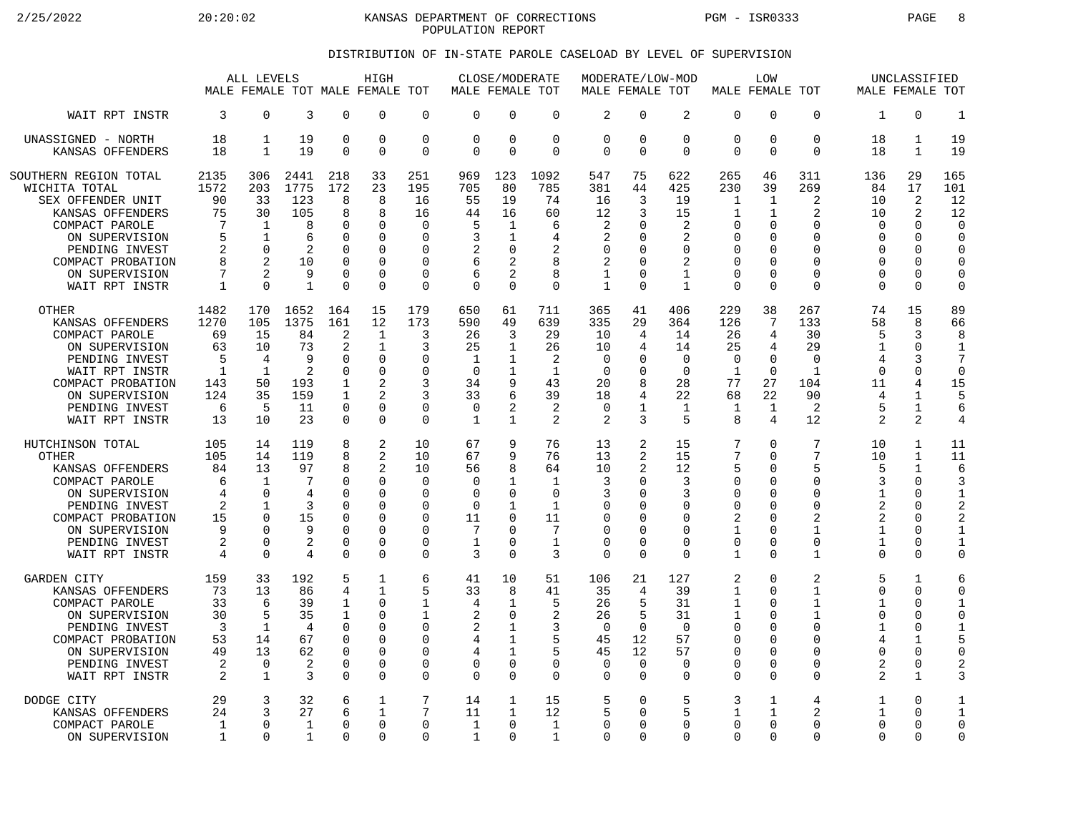2/25/2022 20:20:02 20:20:02 KANSAS DEPARTMENT OF CORRECTIONS PGM - ISR0333 PAGE 8 POPULATION REPORT

## DISTRIBUTION OF IN-STATE PAROLE CASELOAD BY LEVEL OF SUPERVISION

|                                                                                                                                                                                       | ALL LEVELS<br>MALE FEMALE TOT MALE FEMALE TOT                     |                                                                                          |                                                                   |                                                                                         | HIGH                                                                                                  |                                                                                            | MALE FEMALE TOT                                                            | CLOSE/MODERATE                                                                                          |                                                                                          | MODERATE/LOW-MOD<br>MALE FEMALE TOT                             |                                                                       |                                                                        | MALE FEMALE TOT                                                                                | LOW                                            |                                                                                                    |                                                                                            | UNCLASSIFIED<br>MALE FEMALE TOT                                                                                           |                                                                                                            |
|---------------------------------------------------------------------------------------------------------------------------------------------------------------------------------------|-------------------------------------------------------------------|------------------------------------------------------------------------------------------|-------------------------------------------------------------------|-----------------------------------------------------------------------------------------|-------------------------------------------------------------------------------------------------------|--------------------------------------------------------------------------------------------|----------------------------------------------------------------------------|---------------------------------------------------------------------------------------------------------|------------------------------------------------------------------------------------------|-----------------------------------------------------------------|-----------------------------------------------------------------------|------------------------------------------------------------------------|------------------------------------------------------------------------------------------------|------------------------------------------------|----------------------------------------------------------------------------------------------------|--------------------------------------------------------------------------------------------|---------------------------------------------------------------------------------------------------------------------------|------------------------------------------------------------------------------------------------------------|
| WAIT RPT INSTR                                                                                                                                                                        | 3                                                                 | 0                                                                                        | 3                                                                 | $\Omega$                                                                                | 0                                                                                                     | $\mathbf 0$                                                                                | $\Omega$                                                                   | $\Omega$                                                                                                | $\mathbf 0$                                                                              | $\overline{2}$                                                  | $\Omega$                                                              | 2                                                                      | $\mathbf 0$                                                                                    | 0                                              | $\Omega$                                                                                           | 1                                                                                          | $\Omega$                                                                                                                  | $\mathbf{1}$                                                                                               |
| UNASSIGNED - NORTH                                                                                                                                                                    | 18                                                                | 1                                                                                        | 19                                                                | $\mathbf 0$                                                                             | $\mathbf 0$                                                                                           | $\mathbf 0$                                                                                | $\mathbf 0$                                                                | $\mathbf 0$                                                                                             | $\mathbf 0$                                                                              | 0                                                               | 0                                                                     | $\mathbf 0$                                                            | $\mathbf 0$                                                                                    | 0                                              | $\mathbf 0$                                                                                        | 18                                                                                         | $\mathbf{1}$                                                                                                              | 19                                                                                                         |
| KANSAS OFFENDERS                                                                                                                                                                      | 18                                                                | $\mathbf{1}$                                                                             | 19                                                                | $\Omega$                                                                                | $\Omega$                                                                                              | $\mathbf 0$                                                                                | $\Omega$                                                                   | $\Omega$                                                                                                | $\Omega$                                                                                 | $\Omega$                                                        | $\Omega$                                                              | $\Omega$                                                               | $\Omega$                                                                                       | 0                                              | $\Omega$                                                                                           | 18                                                                                         | $\mathbf{1}$                                                                                                              | 19                                                                                                         |
| SOUTHERN REGION TOTAL                                                                                                                                                                 | 2135                                                              | 306                                                                                      | 2441                                                              | 218                                                                                     | 33                                                                                                    | 251                                                                                        | 969                                                                        | 123                                                                                                     | 1092                                                                                     | 547                                                             | 75                                                                    | 622                                                                    | 265                                                                                            | 46                                             | 311                                                                                                | 136                                                                                        | 29                                                                                                                        | 165                                                                                                        |
| WICHITA TOTAL                                                                                                                                                                         | 1572                                                              | 203                                                                                      | 1775                                                              | 172                                                                                     | 23                                                                                                    | 195                                                                                        | 705                                                                        | 80                                                                                                      | 785                                                                                      | 381                                                             | 44                                                                    | 425                                                                    | 230                                                                                            | 39                                             | 269                                                                                                | 84                                                                                         | 17                                                                                                                        | 101                                                                                                        |
| SEX OFFENDER UNIT                                                                                                                                                                     | 90                                                                | 33                                                                                       | 123                                                               | 8                                                                                       | 8                                                                                                     | 16                                                                                         | 55                                                                         | 19                                                                                                      | 74                                                                                       | 16                                                              | 3                                                                     | 19                                                                     | $\mathbf 1$                                                                                    | 1                                              | $\overline{2}$                                                                                     | 10                                                                                         | 2                                                                                                                         | 12                                                                                                         |
| KANSAS OFFENDERS                                                                                                                                                                      | 75                                                                | 30                                                                                       | 105                                                               | 8                                                                                       | 8                                                                                                     | 16                                                                                         | 44                                                                         | 16                                                                                                      | 60                                                                                       | 12                                                              | 3                                                                     | 15                                                                     | 1                                                                                              | $\mathbf{1}$                                   | $\mathfrak{D}$                                                                                     | 10                                                                                         | 2                                                                                                                         | 12                                                                                                         |
| COMPACT PAROLE                                                                                                                                                                        | 7                                                                 | 1                                                                                        | 8                                                                 | $\Omega$                                                                                | $\mathbf 0$                                                                                           | $\mathbf 0$                                                                                | 5                                                                          | 1                                                                                                       | 6                                                                                        | 2                                                               | ∩                                                                     | 2                                                                      | 0                                                                                              | 0                                              | $\Omega$                                                                                           | U                                                                                          | $\Omega$                                                                                                                  | $\mathbf 0$                                                                                                |
| ON SUPERVISION                                                                                                                                                                        | 5                                                                 | $\mathbf{1}$                                                                             | 6                                                                 | $\Omega$                                                                                | $\Omega$                                                                                              | $\Omega$                                                                                   | 3                                                                          | 1                                                                                                       | 4                                                                                        | $\overline{2}$                                                  | O                                                                     | 2                                                                      | 0                                                                                              | O                                              | $\Omega$                                                                                           | O                                                                                          | $\Omega$                                                                                                                  | $\mathbf 0$                                                                                                |
| PENDING INVEST                                                                                                                                                                        | 2                                                                 | $\Omega$                                                                                 | 2                                                                 | $\Omega$                                                                                | $\Omega$                                                                                              | 0                                                                                          | 2                                                                          | $\Omega$                                                                                                | 2                                                                                        | 0                                                               | ∩                                                                     | 0                                                                      | 0                                                                                              | U                                              | $\Omega$                                                                                           | $\Omega$                                                                                   | $\Omega$                                                                                                                  | $\Omega$                                                                                                   |
| COMPACT PROBATION                                                                                                                                                                     | 8                                                                 | 2                                                                                        | 10                                                                | $\mathbf 0$                                                                             | $\Omega$                                                                                              | $\mathbf 0$                                                                                | 6                                                                          | $\overline{a}$                                                                                          | 8                                                                                        | 2                                                               | <sup>0</sup>                                                          | 2                                                                      | $\mathbf 0$                                                                                    | 0                                              | $\Omega$                                                                                           | $\Omega$                                                                                   | 0                                                                                                                         | $\mathbf 0$                                                                                                |
| ON SUPERVISION                                                                                                                                                                        | 7                                                                 | 2                                                                                        | 9                                                                 | $\Omega$                                                                                | $\Omega$                                                                                              | $\Omega$                                                                                   | 6                                                                          | $\overline{2}$                                                                                          | 8                                                                                        | 1                                                               | ∩                                                                     | $\mathbf{1}$                                                           | $\Omega$                                                                                       | 0                                              | $\Omega$                                                                                           | $\Omega$                                                                                   | $\Omega$                                                                                                                  | $\mathbf 0$                                                                                                |
| WAIT RPT INSTR                                                                                                                                                                        | $\mathbf{1}$                                                      | $\Omega$                                                                                 | $\mathbf{1}$                                                      | $\Omega$                                                                                | $\Omega$                                                                                              | $\Omega$                                                                                   | $\Omega$                                                                   | $\Omega$                                                                                                | $\Omega$                                                                                 | $\mathbf{1}$                                                    | $\Omega$                                                              | $\mathbf{1}$                                                           | $\Omega$                                                                                       | 0                                              | $\Omega$                                                                                           | $\Omega$                                                                                   | $\Omega$                                                                                                                  | $\mathbf 0$                                                                                                |
| <b>OTHER</b>                                                                                                                                                                          | 1482                                                              | 170                                                                                      | 1652                                                              | 164                                                                                     | 15                                                                                                    | 179                                                                                        | 650                                                                        | 61                                                                                                      | 711                                                                                      | 365                                                             | 41                                                                    | 406                                                                    | 229                                                                                            | 38                                             | 267                                                                                                | 74                                                                                         | 15                                                                                                                        | 89                                                                                                         |
| KANSAS OFFENDERS                                                                                                                                                                      | 1270                                                              | 105                                                                                      | 1375                                                              | 161                                                                                     | 12                                                                                                    | 173                                                                                        | 590                                                                        | 49                                                                                                      | 639                                                                                      | 335                                                             | 29                                                                    | 364                                                                    | 126                                                                                            | 7                                              | 133                                                                                                | 58                                                                                         | 8                                                                                                                         | 66                                                                                                         |
| COMPACT PAROLE                                                                                                                                                                        | 69                                                                | 15                                                                                       | 84                                                                | 2                                                                                       | $\mathbf{1}$                                                                                          | 3                                                                                          | 26                                                                         | 3                                                                                                       | 29                                                                                       | 10                                                              | 4                                                                     | 14                                                                     | 26                                                                                             | 4                                              | 30                                                                                                 | 5                                                                                          | 3                                                                                                                         | 8                                                                                                          |
| ON SUPERVISION                                                                                                                                                                        | 63                                                                | 10                                                                                       | 73                                                                | $\overline{2}$                                                                          | 1                                                                                                     | 3                                                                                          | 25                                                                         | $\mathbf{1}$                                                                                            | 26                                                                                       | 10                                                              | 4                                                                     | 14                                                                     | 25                                                                                             | 4                                              | 29                                                                                                 | 1                                                                                          | $\Omega$                                                                                                                  | $\overline{1}$                                                                                             |
| PENDING INVEST                                                                                                                                                                        | 5                                                                 | 4                                                                                        | 9                                                                 | O                                                                                       | $\mathbf 0$                                                                                           | $\mathbf 0$                                                                                | 1                                                                          | $\mathbf{1}$                                                                                            | 2                                                                                        | 0                                                               | ∩                                                                     | $\mathbf 0$                                                            | $\mathbf 0$                                                                                    | 0                                              | $\Omega$                                                                                           | 4                                                                                          | 3                                                                                                                         | 7                                                                                                          |
| WAIT RPT INSTR                                                                                                                                                                        | $\mathbf{1}$                                                      | 1                                                                                        | 2                                                                 | $\Omega$                                                                                | $\Omega$                                                                                              | $\Omega$                                                                                   | $\Omega$                                                                   | $\mathbf{1}$                                                                                            | $\mathbf{1}$                                                                             | $\Omega$                                                        | <sup>0</sup>                                                          | $\Omega$                                                               | $\mathbf{1}$                                                                                   | $\Omega$                                       | $\mathbf{1}$                                                                                       | $\Omega$                                                                                   | $\Omega$                                                                                                                  | $\mathbf 0$                                                                                                |
| COMPACT PROBATION                                                                                                                                                                     | 143                                                               | 50                                                                                       | 193                                                               | 1                                                                                       | 2                                                                                                     | 3                                                                                          | 34                                                                         | 9                                                                                                       | 43                                                                                       | 20                                                              | 8                                                                     | 28                                                                     | 77                                                                                             | 27                                             | 104                                                                                                | 11                                                                                         | 4                                                                                                                         | 15                                                                                                         |
| ON SUPERVISION                                                                                                                                                                        | 124                                                               | 35                                                                                       | 159                                                               | $\mathbf{1}$                                                                            | $\mathfrak{D}$                                                                                        | 3                                                                                          | 33                                                                         | 6                                                                                                       | 39                                                                                       | 18                                                              | $\overline{4}$                                                        | 22                                                                     | 68                                                                                             | 22                                             | 90                                                                                                 | 4                                                                                          | $\mathbf{1}$                                                                                                              | 5                                                                                                          |
| PENDING INVEST                                                                                                                                                                        | 6                                                                 | 5                                                                                        | 11                                                                | $\Omega$                                                                                | $\Omega$                                                                                              | $\Omega$                                                                                   | $\Omega$                                                                   | $\overline{2}$                                                                                          | 2                                                                                        | $\Omega$                                                        | 1                                                                     | 1                                                                      | 1                                                                                              | 1                                              | 2                                                                                                  | 5                                                                                          | $\mathbf{1}$                                                                                                              | 6                                                                                                          |
| WAIT RPT INSTR                                                                                                                                                                        | 13                                                                | 10                                                                                       | 23                                                                | $\Omega$                                                                                | $\Omega$                                                                                              | 0                                                                                          | 1                                                                          | $\mathbf{1}$                                                                                            | 2                                                                                        | 2                                                               | 3                                                                     | 5                                                                      | 8                                                                                              | 4                                              | 12                                                                                                 | $\overline{2}$                                                                             | 2                                                                                                                         | $\overline{4}$                                                                                             |
| HUTCHINSON TOTAL<br><b>OTHER</b><br>KANSAS OFFENDERS<br>COMPACT PAROLE<br>ON SUPERVISION<br>PENDING INVEST<br>COMPACT PROBATION<br>ON SUPERVISION<br>PENDING INVEST<br>WAIT RPT INSTR | 105<br>105<br>84<br>6<br>4<br>2<br>15<br>9<br>$\overline{2}$<br>4 | 14<br>14<br>13<br>$\mathbf{1}$<br>$\Omega$<br>1<br>$\Omega$<br>U<br>$\Omega$<br>$\Omega$ | 119<br>119<br>97<br>7<br>4<br>3<br>15<br>9<br>2<br>$\overline{4}$ | 8<br>8<br>8<br>$\Omega$<br>$\Omega$<br>$\mathbf 0$<br>O<br>$\Omega$<br>0<br>$\mathbf 0$ | 2<br>$\overline{c}$<br>2<br>$\Omega$<br>$\Omega$<br>$\Omega$<br>$\Omega$<br>$\Omega$<br>0<br>$\Omega$ | 10<br>10<br>10<br>$\mathbf 0$<br>$\Omega$<br>0<br>$\Omega$<br>$\Omega$<br>$\mathbf 0$<br>0 | 67<br>67<br>56<br>$\Omega$<br>$\Omega$<br>$\mathbf 0$<br>11<br>7<br>1<br>3 | 9<br>9<br>8<br>$\mathbf{1}$<br>$\Omega$<br>$\mathbf{1}$<br>$\Omega$<br>$\Omega$<br>$\Omega$<br>$\Omega$ | 76<br>76<br>64<br>$\mathbf{1}$<br>$\Omega$<br>$\mathbf 1$<br>11<br>7<br>$\mathbf 1$<br>3 | 13<br>13<br>10<br>3<br>3<br>0<br>$\Omega$<br>$\Omega$<br>0<br>0 | 2<br>2<br>2<br>$\Omega$<br>∩<br>$\Omega$<br>∩<br>$\Omega$<br>$\Omega$ | 15<br>15<br>12<br>3<br>3<br>0<br>$\Omega$<br>$\Omega$<br>0<br>$\Omega$ | 7<br>7<br>5<br>$\mathbf 0$<br>$\Omega$<br>$\mathbf 0$<br>2<br>1<br>$\mathbf 0$<br>$\mathbf{1}$ | 0<br>0<br>0<br>0<br>O<br>0<br>0<br>0<br>0<br>0 | 7<br>7<br>5<br>$\Omega$<br>$\Omega$<br>$\Omega$<br>$\mathfrak{D}$<br>$\mathbf{1}$<br>$\Omega$<br>1 | 10<br>10<br>5<br>3<br>$\mathbf{1}$<br>2<br>$\mathfrak{D}$<br>$\mathbf{1}$<br>1<br>$\Omega$ | $\mathbf{1}$<br>$\mathbf{1}$<br>$\mathbf{1}$<br>$\Omega$<br>$\Omega$<br>0<br>$\Omega$<br>$\Omega$<br>$\Omega$<br>$\Omega$ | 11<br>11<br>6<br>3<br>$\mathbf{1}$<br>$\overline{2}$<br>$\overline{2}$<br>$\mathbf{1}$<br>1<br>$\mathbf 0$ |
| <b>GARDEN CITY</b>                                                                                                                                                                    | 159                                                               | 33                                                                                       | 192                                                               | 5                                                                                       | $\mathbf{1}$                                                                                          | 6                                                                                          | 41                                                                         | 10                                                                                                      | 51                                                                                       | 106                                                             | 21                                                                    | 127                                                                    | 2                                                                                              | 0                                              | 2                                                                                                  | 5                                                                                          | $\mathbf{1}$                                                                                                              | 6                                                                                                          |
| KANSAS OFFENDERS                                                                                                                                                                      | 73                                                                | 13                                                                                       | 86                                                                | 4                                                                                       | $\mathbf{1}$                                                                                          | 5                                                                                          | 33                                                                         | 8                                                                                                       | 41                                                                                       | 35                                                              | 4                                                                     | 39                                                                     | $\mathbf{1}$                                                                                   | 0                                              | $\mathbf{1}$                                                                                       | $\Omega$                                                                                   | $\Omega$                                                                                                                  | $\mathbf 0$                                                                                                |
| COMPACT PAROLE                                                                                                                                                                        | 33                                                                | 6                                                                                        | 39                                                                | 1                                                                                       | $\Omega$                                                                                              | 1                                                                                          | 4                                                                          | 1                                                                                                       | 5                                                                                        | 26                                                              | 5                                                                     | 31                                                                     | 1                                                                                              | 0                                              | 1                                                                                                  | 1                                                                                          | $\Omega$                                                                                                                  | $\mathbf{1}$                                                                                               |
| ON SUPERVISION                                                                                                                                                                        | 30                                                                | 5                                                                                        | 35                                                                | $\mathbf{1}$                                                                            | $\mathbf 0$                                                                                           | 1                                                                                          | $\overline{2}$                                                             | $\mathbf 0$                                                                                             | $\overline{2}$                                                                           | 26                                                              | 5                                                                     | 31                                                                     | $\mathbf{1}$                                                                                   | 0                                              | 1                                                                                                  | $\Omega$                                                                                   | $\Omega$                                                                                                                  | $\mathbf 0$                                                                                                |
| PENDING INVEST                                                                                                                                                                        | 3                                                                 | 1                                                                                        | 4                                                                 | $\Omega$                                                                                | $\Omega$                                                                                              | 0                                                                                          | 2                                                                          | 1                                                                                                       | 3                                                                                        | $\Omega$                                                        | ∩                                                                     | $\Omega$                                                               | $\mathbf 0$                                                                                    | 0                                              | $\Omega$                                                                                           | 1                                                                                          | $\Omega$                                                                                                                  | $\mathbf 1$                                                                                                |
| COMPACT PROBATION                                                                                                                                                                     | 53                                                                | 14                                                                                       | 67                                                                | $\Omega$                                                                                | $\mathbf 0$                                                                                           | $\mathbf 0$                                                                                | 4                                                                          | $\mathbf{1}$                                                                                            | 5                                                                                        | 45                                                              | 12                                                                    | 57                                                                     | $\mathbf 0$                                                                                    | 0                                              | $\Omega$                                                                                           | 4                                                                                          | $\mathbf{1}$                                                                                                              | 5                                                                                                          |
| ON SUPERVISION                                                                                                                                                                        | 49                                                                | 13                                                                                       | 62                                                                | $\Omega$                                                                                | $\Omega$                                                                                              | $\Omega$                                                                                   | 4                                                                          | $\mathbf{1}$                                                                                            | 5                                                                                        | 45                                                              | 12                                                                    | 57                                                                     | $\Omega$                                                                                       | 0                                              | $\Omega$                                                                                           | $\Omega$                                                                                   | $\Omega$                                                                                                                  | $\mathbf 0$                                                                                                |
| PENDING INVEST                                                                                                                                                                        | 2                                                                 | 0                                                                                        | 2                                                                 | $\mathbf 0$                                                                             | $\mathbf 0$                                                                                           | 0                                                                                          | $\Omega$                                                                   | 0                                                                                                       | 0                                                                                        | 0                                                               | $\mathbf 0$                                                           | $\mathbf 0$                                                            | $\mathbf 0$                                                                                    | 0                                              | $\mathbf 0$                                                                                        | 2                                                                                          | 0                                                                                                                         | $\overline{2}$                                                                                             |
| WAIT RPT INSTR                                                                                                                                                                        | $\overline{2}$                                                    | $\mathbf{1}$                                                                             | 3                                                                 | $\Omega$                                                                                | $\Omega$                                                                                              | $\Omega$                                                                                   | $\Omega$                                                                   | $\Omega$                                                                                                | $\Omega$                                                                                 | $\Omega$                                                        | $\Omega$                                                              | $\Omega$                                                               | $\Omega$                                                                                       | 0                                              | $\Omega$                                                                                           | $\overline{a}$                                                                             | $\mathbf{1}$                                                                                                              | 3                                                                                                          |
| DODGE CITY                                                                                                                                                                            | 29                                                                | 3                                                                                        | 32                                                                | 6                                                                                       | 1                                                                                                     | 7                                                                                          | 14                                                                         | 1                                                                                                       | 15                                                                                       | 5                                                               | 0                                                                     | 5                                                                      | 3                                                                                              | $\mathbf{1}$                                   | 4                                                                                                  | $\mathbf 1$                                                                                | $\Omega$                                                                                                                  | $\mathbf{1}$                                                                                               |
| KANSAS OFFENDERS                                                                                                                                                                      | 24                                                                | ζ                                                                                        | 27                                                                | б                                                                                       | $\mathbf{1}$                                                                                          | 7                                                                                          | 11                                                                         | 1                                                                                                       | 12                                                                                       | 5                                                               | $\Omega$                                                              | 5                                                                      | $\mathbf{1}$                                                                                   | $\mathbf{1}$                                   | $\mathfrak{D}$                                                                                     | $\mathbf{1}$                                                                               | $\Omega$                                                                                                                  | $\mathbf 1$                                                                                                |
| COMPACT PAROLE                                                                                                                                                                        | $\mathbf{1}$                                                      | 0                                                                                        | $\mathbf{1}$                                                      | $\Omega$                                                                                | $\Omega$                                                                                              | 0                                                                                          | 1                                                                          | $\Omega$                                                                                                | $\mathbf{1}$                                                                             | 0                                                               | ∩                                                                     | $\Omega$                                                               | $\Omega$                                                                                       | 0                                              | $\Omega$                                                                                           | $\Omega$                                                                                   | $\Omega$                                                                                                                  | $\mathbf 0$                                                                                                |
| ON SUPERVISION                                                                                                                                                                        | 1                                                                 | $\Omega$                                                                                 | 1                                                                 | $\Omega$                                                                                | $\Omega$                                                                                              | $\Omega$                                                                                   | 1                                                                          | $\Omega$                                                                                                | $\mathbf{1}$                                                                             | $\Omega$                                                        | $\Omega$                                                              | $\Omega$                                                               | $\Omega$                                                                                       | 0                                              | $\Omega$                                                                                           | <sup>0</sup>                                                                               | $\Omega$                                                                                                                  | $\mathbf 0$                                                                                                |